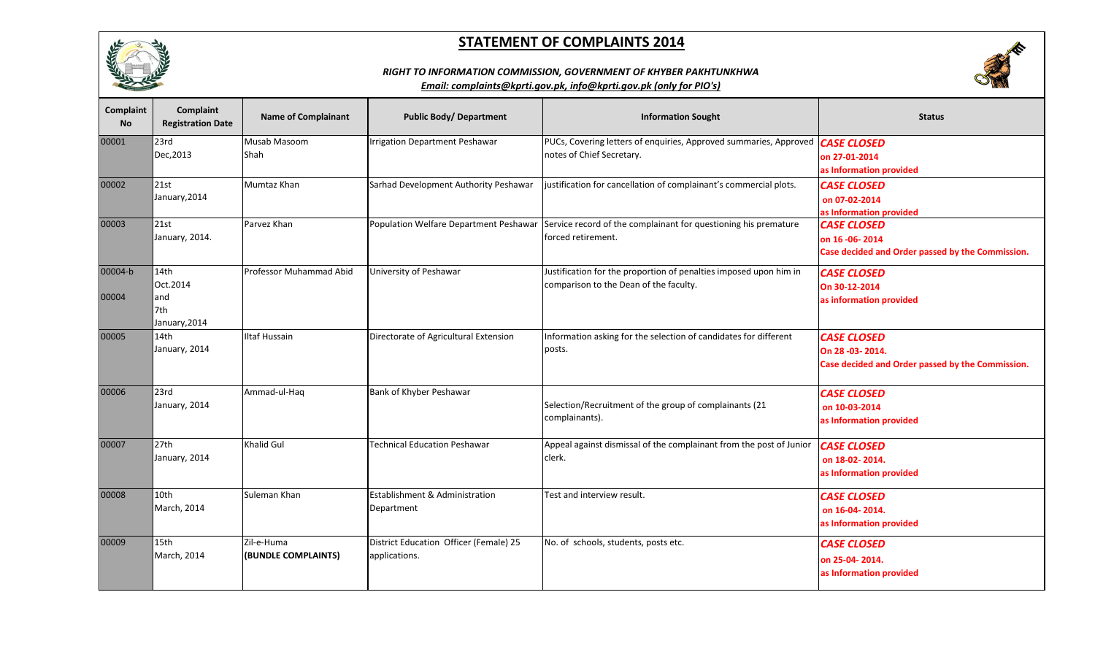





| Complaint<br><b>No</b> | Complaint<br><b>Registration Date</b>            | <b>Name of Complainant</b>        | <b>Public Body/ Department</b>                          | <b>Information Sought</b>                                                                                   | <b>Status</b>                                                                                |
|------------------------|--------------------------------------------------|-----------------------------------|---------------------------------------------------------|-------------------------------------------------------------------------------------------------------------|----------------------------------------------------------------------------------------------|
| 00001                  | 23rd<br>Dec, 2013                                | Musab Masoom<br>Shah              | rrigation Department Peshawar                           | PUCs, Covering letters of enquiries, Approved summaries, Approved<br>notes of Chief Secretary.              | <b>CASE CLOSED</b><br>on 27-01-2014<br>as Information provided                               |
| 00002                  | 21st<br>January, 2014                            | Mumtaz Khan                       | Sarhad Development Authority Peshawar                   | justification for cancellation of complainant's commercial plots.                                           | <b>CASE CLOSED</b><br>on 07-02-2014<br>as Information provided                               |
| 00003                  | 21st<br>January, 2014.                           | Parvez Khan                       | Population Welfare Department Peshawar                  | Service record of the complainant for questioning his premature<br>forced retirement.                       | <b>CASE CLOSED</b><br>on 16 - 06 - 2014<br>Case decided and Order passed by the Commission.  |
| 00004-b<br>00004       | 14th<br>Oct.2014<br>land<br>7th<br>January, 2014 | Professor Muhammad Abid           | University of Peshawar                                  | Justification for the proportion of penalties imposed upon him in<br>comparison to the Dean of the faculty. | <b>CASE CLOSED</b><br>On 30-12-2014<br>as information provided                               |
| 00005                  | 14th<br>January, 2014                            | <b>Iltaf Hussain</b>              | Directorate of Agricultural Extension                   | Information asking for the selection of candidates for different<br>posts.                                  | <b>CASE CLOSED</b><br>On 28 - 03 - 2014.<br>Case decided and Order passed by the Commission. |
| 00006                  | $l$ 23rd<br>January, 2014                        | Ammad-ul-Haq                      | Bank of Khyber Peshawar                                 | Selection/Recruitment of the group of complainants (21<br>complainants).                                    | <b>CASE CLOSED</b><br>on 10-03-2014<br>as Information provided                               |
| 00007                  | 27th<br>January, 2014                            | <b>Khalid Gul</b>                 | <b>Technical Education Peshawar</b>                     | Appeal against dismissal of the complainant from the post of Junior<br>clerk.                               | <b>CASE CLOSED</b><br>on 18-02-2014.<br>as Information provided                              |
| 00008                  | 10th<br>March, 2014                              | Suleman Khan                      | Establishment & Administration<br>Department            | Test and interview result.                                                                                  | <b>CASE CLOSED</b><br>on 16-04-2014.<br>as Information provided                              |
| 00009                  | 15 <sub>th</sub><br>March, 2014                  | Zil-e-Huma<br>(BUNDLE COMPLAINTS) | District Education Officer (Female) 25<br>applications. | No. of schools, students, posts etc.                                                                        | <b>CASE CLOSED</b><br>on 25-04-2014.<br>as Information provided                              |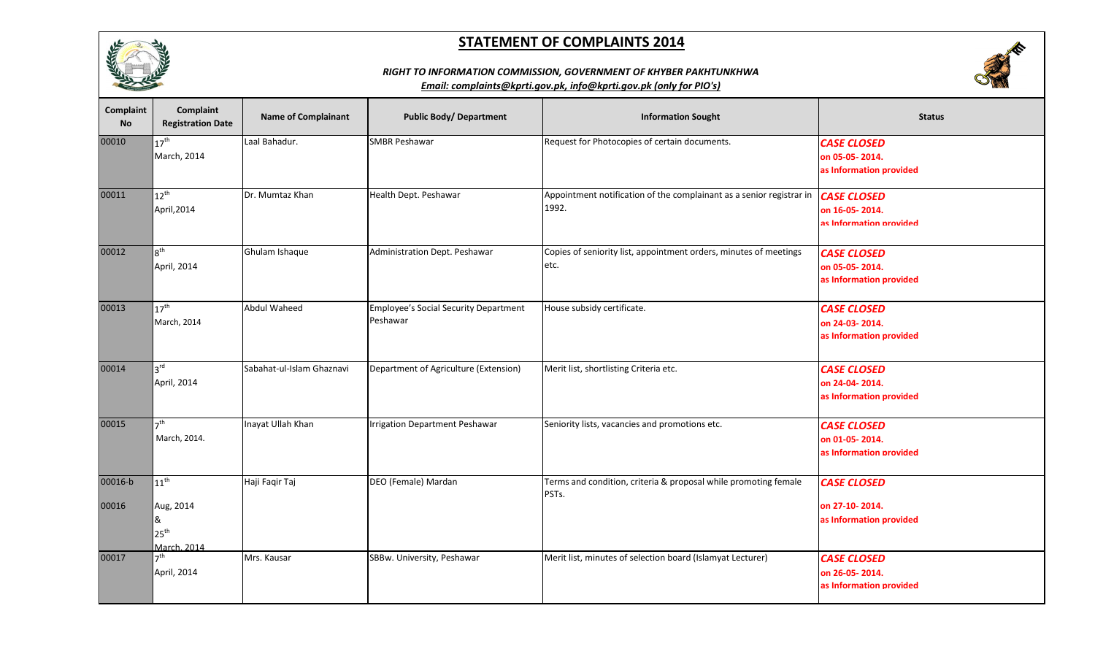

# **REA**

#### *RIGHT TO INFORMATION COMMISSION, GOVERNMENT OF KHYBER PAKHTUNKHWA*

| <b>Complaint</b><br><b>No</b> | Complaint<br><b>Registration Date</b>                              | <b>Name of Complainant</b> | <b>Public Body/ Department</b>                           | <b>Information Sought</b>                                                     | <b>Status</b>                                                   |
|-------------------------------|--------------------------------------------------------------------|----------------------------|----------------------------------------------------------|-------------------------------------------------------------------------------|-----------------------------------------------------------------|
| 00010                         | $17^{\text{th}}$<br>March, 2014                                    | Laal Bahadur.              | <b>SMBR Peshawar</b>                                     | Request for Photocopies of certain documents.                                 | <b>CASE CLOSED</b><br>on 05-05-2014.<br>as Information provided |
| 00011                         | $12^{\text{th}}$<br>April, 2014                                    | Dr. Mumtaz Khan            | Health Dept. Peshawar                                    | Appointment notification of the complainant as a senior registrar in<br>1992. | <b>CASE CLOSED</b><br>on 16-05-2014.<br>as Information provided |
| 00012                         | $8^{\text{th}}$<br>April, 2014                                     | Ghulam Ishaque             | Administration Dept. Peshawar                            | Copies of seniority list, appointment orders, minutes of meetings<br>etc.     | <b>CASE CLOSED</b><br>on 05-05-2014.<br>as Information provided |
| 00013                         | $17^{\text{th}}$<br>March, 2014                                    | <b>Abdul Waheed</b>        | <b>Employee's Social Security Department</b><br>Peshawar | House subsidy certificate.                                                    | <b>CASE CLOSED</b><br>on 24-03-2014.<br>as Information provided |
| 00014                         | 3 <sup>rd</sup><br>April, 2014                                     | Sabahat-ul-Islam Ghaznavi  | Department of Agriculture (Extension)                    | Merit list, shortlisting Criteria etc.                                        | <b>CASE CLOSED</b><br>on 24-04-2014.<br>as Information provided |
| 00015                         | 7 <sup>th</sup><br>March, 2014.                                    | Inayat Ullah Khan          | <b>Irrigation Department Peshawar</b>                    | Seniority lists, vacancies and promotions etc.                                | <b>CASE CLOSED</b><br>on 01-05-2014.<br>as Information provided |
| 00016-b<br>00016              | $11^{\sf th}$<br>Aug, 2014<br>&<br>$25^{\text{th}}$<br>March. 2014 | Haji Faqir Taj             | DEO (Female) Mardan                                      | Terms and condition, criteria & proposal while promoting female<br>PSTs.      | <b>CASE CLOSED</b><br>on 27-10-2014.<br>as Information provided |
| 00017                         | -th<br>April, 2014                                                 | Mrs. Kausar                | SBBw. University, Peshawar                               | Merit list, minutes of selection board (Islamyat Lecturer)                    | <b>CASE CLOSED</b><br>on 26-05-2014.<br>as Information provided |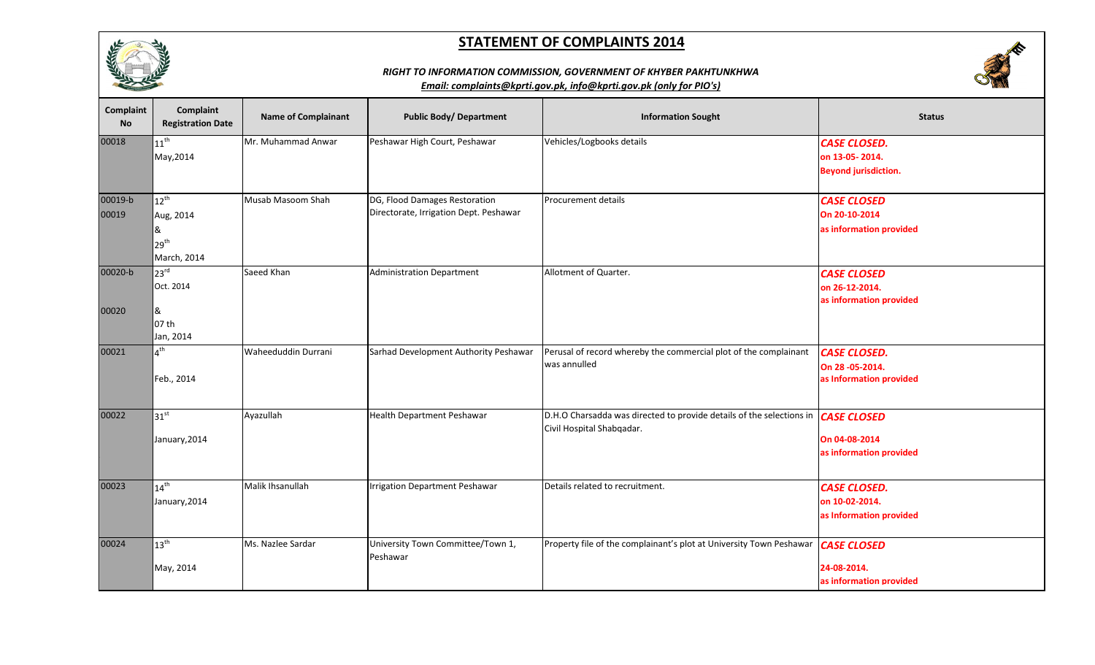

## *RIGHT TO INFORMATION COMMISSION, GOVERNMENT OF KHYBER PAKHTUNKHWA*



| Complaint<br>No. | Complaint<br><b>Registration Date</b>                          | <b>Name of Complainant</b> | <b>Public Body/ Department</b>                                          | <b>Information Sought</b>                                                                                     | <b>Status</b>                                                        |
|------------------|----------------------------------------------------------------|----------------------------|-------------------------------------------------------------------------|---------------------------------------------------------------------------------------------------------------|----------------------------------------------------------------------|
| 00018            | $11^{\sf th}$<br>May, 2014                                     | Mr. Muhammad Anwar         | Peshawar High Court, Peshawar                                           | Vehicles/Logbooks details                                                                                     | <b>CASE CLOSED.</b><br>on 13-05-2014.<br><b>Beyond jurisdiction.</b> |
| 00019-b<br>00019 | $12^{th}$<br>Aug, 2014<br>&<br>29 <sup>th</sup><br>March, 2014 | Musab Masoom Shah          | DG, Flood Damages Restoration<br>Directorate, Irrigation Dept. Peshawar | Procurement details                                                                                           | <b>CASE CLOSED</b><br>On 20-10-2014<br>as information provided       |
| 00020-b<br>00020 | 23 <sup>rd</sup><br>Oct. 2014<br>&<br>07 th<br>Jan, 2014       | Saeed Khan                 | <b>Administration Department</b>                                        | Allotment of Quarter.                                                                                         | <b>CASE CLOSED</b><br>on 26-12-2014.<br>as information provided      |
| 00021            | $\Lambda^{\text{th}}$<br>Feb., 2014                            | Waheeduddin Durrani        | Sarhad Development Authority Peshawar                                   | Perusal of record whereby the commercial plot of the complainant<br>was annulled                              | <b>CASE CLOSED.</b><br>On 28 - 05 - 2014.<br>as Information provided |
| 00022            | $31^{st}$<br>January, 2014                                     | Ayazullah                  | <b>Health Department Peshawar</b>                                       | D.H.O Charsadda was directed to provide details of the selections in CASE CLOSED<br>Civil Hospital Shabqadar. | On 04-08-2014<br>as information provided                             |
| 00023            | $14^{\text{th}}$<br>January, 2014                              | Malik Ihsanullah           | <b>Irrigation Department Peshawar</b>                                   | Details related to recruitment.                                                                               | <b>CASE CLOSED.</b><br>on 10-02-2014.<br>as Information provided     |
| 00024            | $13^{\text{th}}$<br>May, 2014                                  | Ms. Nazlee Sardar          | University Town Committee/Town 1,<br>Peshawar                           | Property file of the complainant's plot at University Town Peshawar                                           | <b>CASE CLOSED</b><br>24-08-2014.<br>as information provided         |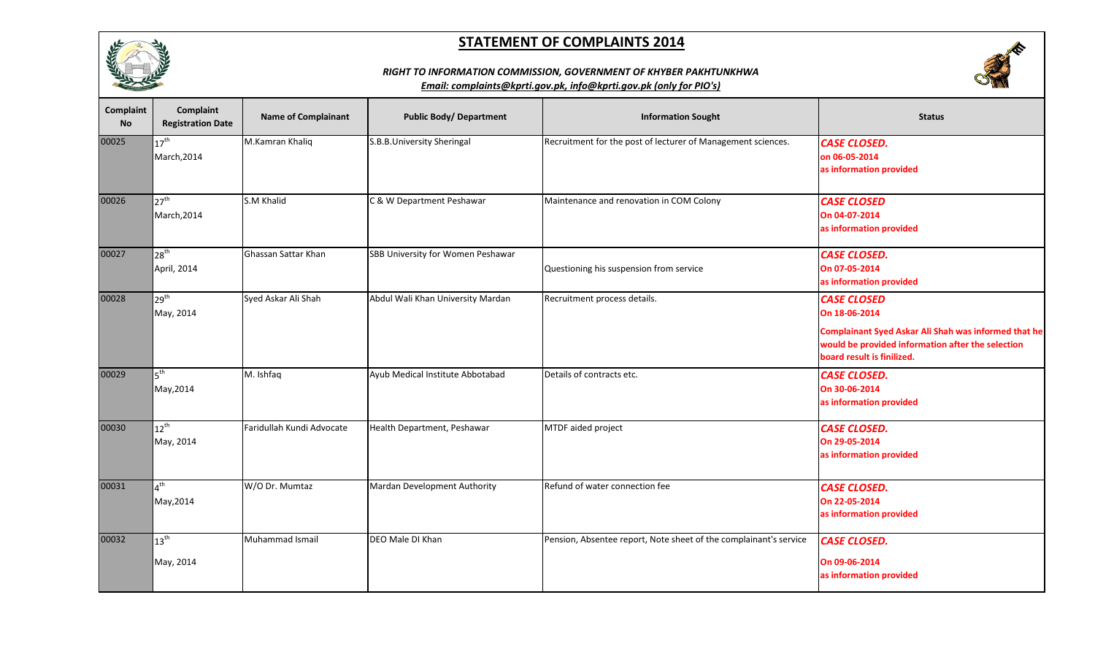

# **SERVICE**

## *RIGHT TO INFORMATION COMMISSION, GOVERNMENT OF KHYBER PAKHTUNKHWA*

| Complaint<br><b>No</b> | Complaint<br><b>Registration Date</b> | <b>Name of Complainant</b> | <b>Public Body/ Department</b>    | <b>Information Sought</b>                                         | <b>Status</b>                                                                                                                                                                         |
|------------------------|---------------------------------------|----------------------------|-----------------------------------|-------------------------------------------------------------------|---------------------------------------------------------------------------------------------------------------------------------------------------------------------------------------|
| 00025                  | $17^{\text{th}}$<br>March, 2014       | M.Kamran Khaliq            | S.B.B.University Sheringal        | Recruitment for the post of lecturer of Management sciences.      | <b>CASE CLOSED.</b><br>on 06-05-2014<br>as information provided                                                                                                                       |
| 00026                  | $27^{\text{th}}$<br>March, 2014       | S.M Khalid                 | C & W Department Peshawar         | Maintenance and renovation in COM Colony                          | <b>CASE CLOSED</b><br>On 04-07-2014<br>as information provided                                                                                                                        |
| 00027                  | 28 <sup>th</sup><br>April, 2014       | Ghassan Sattar Khan        | SBB University for Women Peshawar | Questioning his suspension from service                           | <b>CASE CLOSED.</b><br>On 07-05-2014<br>as information provided                                                                                                                       |
| 00028                  | 29 <sup>th</sup><br>May, 2014         | Syed Askar Ali Shah        | Abdul Wali Khan University Mardan | Recruitment process details.                                      | <b>CASE CLOSED</b><br>On 18-06-2014<br><b>Complainant Syed Askar Ali Shah was informed that he</b><br>would be provided information after the selection<br>board result is finilized. |
| 00029                  | $5^{\text{th}}$<br>May, 2014          | M. Ishfaq                  | Ayub Medical Institute Abbotabad  | Details of contracts etc.                                         | <b>CASE CLOSED.</b><br>On 30-06-2014<br>as information provided                                                                                                                       |
| 00030                  | $12^{\text{th}}$<br>May, 2014         | Faridullah Kundi Advocate  | Health Department, Peshawar       | MTDF aided project                                                | <b>CASE CLOSED.</b><br>On 29-05-2014<br>as information provided                                                                                                                       |
| 00031                  | $4^{\text{th}}$<br>May, 2014          | W/O Dr. Mumtaz             | Mardan Development Authority      | Refund of water connection fee                                    | <b>CASE CLOSED.</b><br>On 22-05-2014<br>as information provided                                                                                                                       |
| 00032                  | $13^{\text{th}}$<br>May, 2014         | Muhammad Ismail            | DEO Male DI Khan                  | Pension, Absentee report, Note sheet of the complainant's service | <b>CASE CLOSED.</b><br>On 09-06-2014<br>as information provided                                                                                                                       |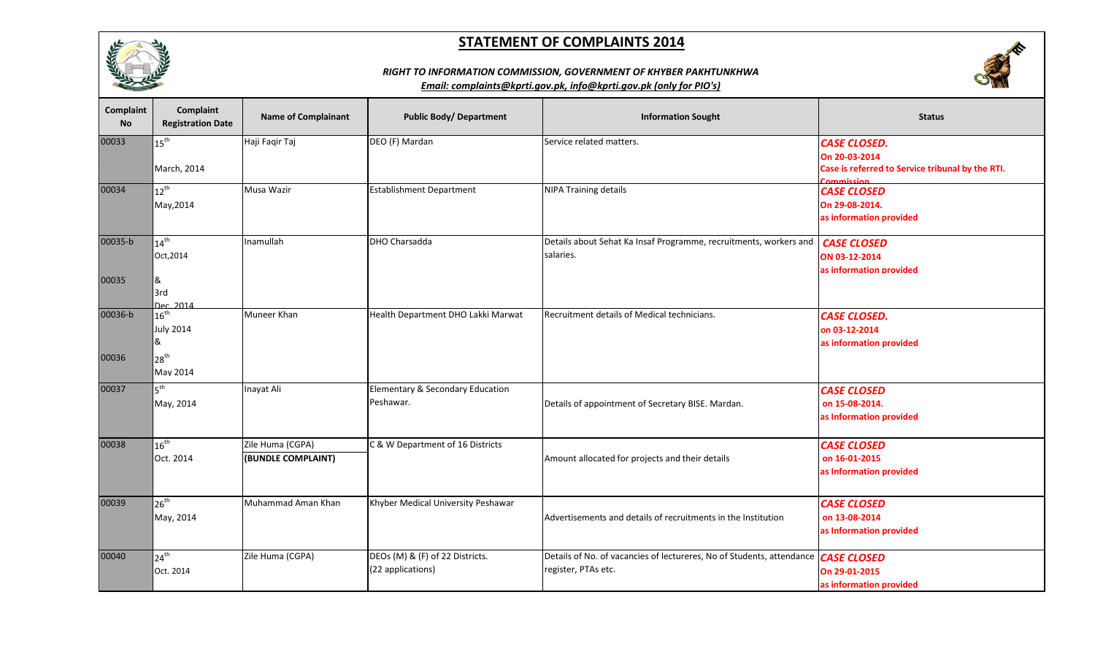





| Complaint<br><b>No</b> | <b>Complaint</b><br><b>Registration Date</b> | <b>Name of Complainant</b> | <b>Public Body/ Department</b>     | <b>Information Sought</b>                                                         | <b>Status</b>                                                  |
|------------------------|----------------------------------------------|----------------------------|------------------------------------|-----------------------------------------------------------------------------------|----------------------------------------------------------------|
| 00033                  | $15^{\text{th}}$                             | Haji Faqir Taj             | DEO (F) Mardan                     | Service related matters.                                                          | <b>CASE CLOSED.</b>                                            |
|                        |                                              |                            |                                    |                                                                                   | On 20-03-2014                                                  |
|                        | March, 2014                                  |                            |                                    |                                                                                   | Case is referred to Service tribunal by the RTI.<br>Commiccion |
| 00034                  | $12^{th}$                                    | Musa Wazir                 | <b>Establishment Department</b>    | <b>NIPA Training details</b>                                                      | <b>CASE CLOSED</b>                                             |
|                        | May, 2014                                    |                            |                                    |                                                                                   | On 29-08-2014.                                                 |
|                        |                                              |                            |                                    |                                                                                   | as information provided                                        |
| 00035-b                | $14^{\text{th}}$                             | Inamullah                  | DHO Charsadda                      | Details about Sehat Ka Insaf Programme, recruitments, workers and                 | <b>CASE CLOSED</b>                                             |
|                        | Oct, 2014                                    |                            |                                    | salaries.                                                                         | ON 03-12-2014                                                  |
|                        |                                              |                            |                                    |                                                                                   | as information provided                                        |
| 00035                  | &<br>3rd                                     |                            |                                    |                                                                                   |                                                                |
|                        | Dec 2014                                     |                            |                                    |                                                                                   |                                                                |
| 00036-b                | $16^{\text{th}}$                             | Muneer Khan                | Health Department DHO Lakki Marwat | Recruitment details of Medical technicians.                                       | <b>CASE CLOSED.</b>                                            |
|                        | <b>July 2014</b>                             |                            |                                    |                                                                                   | on 03-12-2014                                                  |
|                        | &                                            |                            |                                    |                                                                                   | as information provided                                        |
| 00036                  | 28 <sup>th</sup>                             |                            |                                    |                                                                                   |                                                                |
|                        | May 2014                                     |                            |                                    |                                                                                   |                                                                |
| 00037                  | 5 <sup>th</sup>                              | Inayat Ali                 | Elementary & Secondary Education   |                                                                                   | <b>CASE CLOSED</b>                                             |
|                        | May, 2014                                    |                            | Peshawar.                          | Details of appointment of Secretary BISE. Mardan.                                 | on 15-08-2014.                                                 |
|                        |                                              |                            |                                    |                                                                                   | as Information provided                                        |
| 00038                  | $16^{\text{th}}$                             | Zile Huma (CGPA)           | C & W Department of 16 Districts   |                                                                                   | <b>CASE CLOSED</b>                                             |
|                        | Oct. 2014                                    | (BUNDLE COMPLAINT)         |                                    | Amount allocated for projects and their details                                   | on 16-01-2015                                                  |
|                        |                                              |                            |                                    |                                                                                   | as Information provided                                        |
|                        |                                              |                            |                                    |                                                                                   |                                                                |
| 00039                  | $26^{\text{th}}$                             | Muhammad Aman Khan         | Khyber Medical University Peshawar |                                                                                   | <b>CASE CLOSED</b>                                             |
|                        | May, 2014                                    |                            |                                    | Advertisements and details of recruitments in the Institution                     | on 13-08-2014                                                  |
|                        |                                              |                            |                                    |                                                                                   | as Information provided                                        |
| 00040                  | $24^{\text{th}}$                             | Zile Huma (CGPA)           | DEOs (M) & (F) of 22 Districts.    | Details of No. of vacancies of lectureres, No of Students, attendance CASE CLOSED |                                                                |
|                        | Oct. 2014                                    |                            | (22 applications)                  | register, PTAs etc.                                                               |                                                                |
|                        |                                              |                            |                                    |                                                                                   | On 29-01-2015<br>as information provided                       |
|                        |                                              |                            |                                    |                                                                                   |                                                                |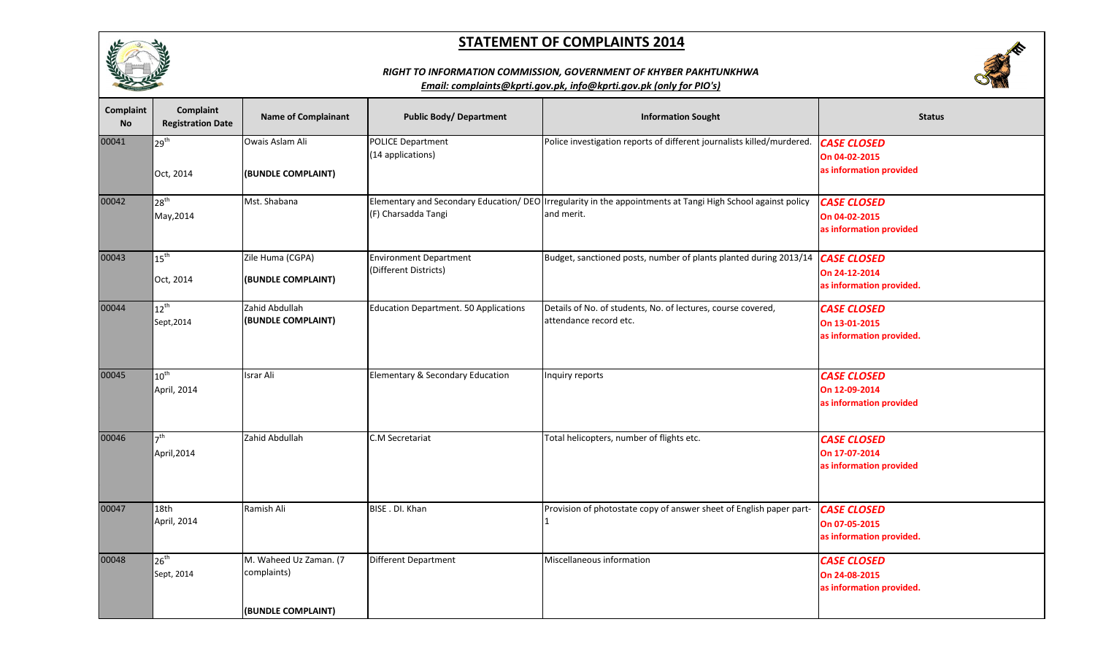

### *RIGHT TO INFORMATION COMMISSION, GOVERNMENT OF KHYBER PAKHTUNKHWA*



| Complaint<br><b>No</b> | <b>Complaint</b><br><b>Registration Date</b> | <b>Name of Complainant</b>                                  | <b>Public Body/ Department</b>                         | <b>Information Sought</b>                                                                                                  | <b>Status</b>                                                   |
|------------------------|----------------------------------------------|-------------------------------------------------------------|--------------------------------------------------------|----------------------------------------------------------------------------------------------------------------------------|-----------------------------------------------------------------|
| 00041                  | 29 <sup>th</sup><br>Oct, 2014                | Owais Aslam Ali<br>(BUNDLE COMPLAINT)                       | <b>POLICE Department</b><br>(14 applications)          | Police investigation reports of different journalists killed/murdered.                                                     | <b>CASE CLOSED</b><br>On 04-02-2015<br>as information provided  |
| 00042                  | 28 <sup>th</sup><br>May, 2014                | Mst. Shabana                                                | (F) Charsadda Tangi                                    | Elementary and Secondary Education/ DEO Irregularity in the appointments at Tangi High School against policy<br>and merit. | <b>CASE CLOSED</b><br>On 04-02-2015<br>as information provided  |
| 00043                  | $15^{\text{th}}$<br>Oct, 2014                | Zile Huma (CGPA)<br>(BUNDLE COMPLAINT)                      | <b>Environment Department</b><br>(Different Districts) | Budget, sanctioned posts, number of plants planted during 2013/14 CASE CLOSED                                              | On 24-12-2014<br>as information provided.                       |
| 00044                  | $12^{\text{th}}$<br>Sept, 2014               | Zahid Abdullah<br>(BUNDLE COMPLAINT)                        | Education Department. 50 Applications                  | Details of No. of students, No. of lectures, course covered,<br>attendance record etc.                                     | <b>CASE CLOSED</b><br>On 13-01-2015<br>as information provided. |
| 00045                  | $10^{\text{th}}$<br>April, 2014              | Israr Ali                                                   | Elementary & Secondary Education                       | Inquiry reports                                                                                                            | <b>CASE CLOSED</b><br>On 12-09-2014<br>as information provided  |
| 00046                  | 7 <sup>th</sup><br>April, 2014               | Zahid Abdullah                                              | C.M Secretariat                                        | Total helicopters, number of flights etc.                                                                                  | <b>CASE CLOSED</b><br>On 17-07-2014<br>as information provided  |
| 00047                  | 18th<br>April, 2014                          | Ramish Ali                                                  | BISE . DI. Khan                                        | Provision of photostate copy of answer sheet of English paper part-                                                        | <b>CASE CLOSED</b><br>On 07-05-2015<br>as information provided. |
| 00048                  | $26^{\text{th}}$<br>Sept, 2014               | M. Waheed Uz Zaman. (7<br>complaints)<br>(BUNDLE COMPLAINT) | Different Department                                   | Miscellaneous information                                                                                                  | <b>CASE CLOSED</b><br>On 24-08-2015<br>as information provided. |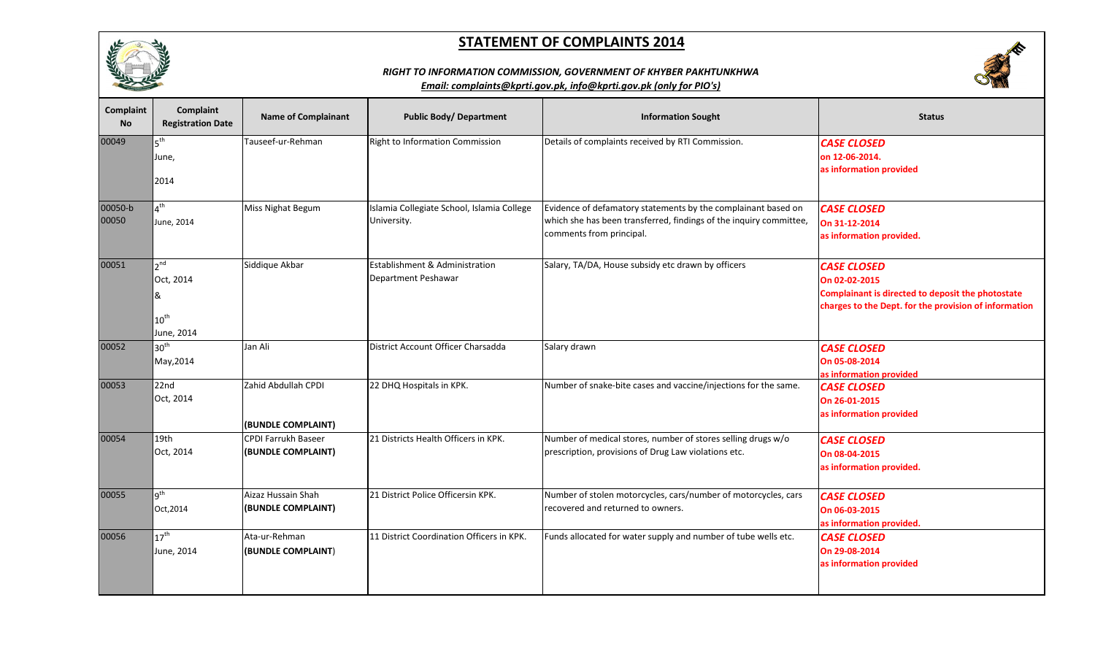

# **SALES**

#### *RIGHT TO INFORMATION COMMISSION, GOVERNMENT OF KHYBER PAKHTUNKHWA*

| Complaint<br><b>No</b> | Complaint<br><b>Registration Date</b>                               | <b>Name of Complainant</b>                       | <b>Public Body/ Department</b>                            | <b>Information Sought</b>                                                                                                                                       | <b>Status</b>                                                                                                                                     |
|------------------------|---------------------------------------------------------------------|--------------------------------------------------|-----------------------------------------------------------|-----------------------------------------------------------------------------------------------------------------------------------------------------------------|---------------------------------------------------------------------------------------------------------------------------------------------------|
| 00049                  | 5 <sup>th</sup><br>June,<br>2014                                    | Tauseef-ur-Rehman                                | Right to Information Commission                           | Details of complaints received by RTI Commission.                                                                                                               | <b>CASE CLOSED</b><br>on 12-06-2014.<br>as information provided                                                                                   |
| 00050-b<br>00050       | $4^{\mathsf{th}}$<br>June, 2014                                     | <b>Miss Nighat Begum</b>                         | Islamia Collegiate School, Islamia College<br>University. | Evidence of defamatory statements by the complainant based on<br>which she has been transferred, findings of the inquiry committee,<br>comments from principal. | <b>CASE CLOSED</b><br>On 31-12-2014<br>as information provided.                                                                                   |
| 00051                  | 2 <sub>nd</sub><br>Oct, 2014<br>&<br>$10^{\text{th}}$<br>June, 2014 | Siddique Akbar                                   | Establishment & Administration<br>Department Peshawar     | Salary, TA/DA, House subsidy etc drawn by officers                                                                                                              | <b>CASE CLOSED</b><br>On 02-02-2015<br>Complainant is directed to deposit the photostate<br>charges to the Dept. for the provision of information |
| 00052                  | 30 <sup>th</sup><br>May, 2014                                       | Jan Ali                                          | District Account Officer Charsadda                        | Salary drawn                                                                                                                                                    | <b>CASE CLOSED</b><br>On 05-08-2014<br>as information provided                                                                                    |
| 00053                  | 22nd<br>Oct, 2014                                                   | Zahid Abdullah CPDI<br>(BUNDLE COMPLAINT)        | 22 DHQ Hospitals in KPK.                                  | Number of snake-bite cases and vaccine/injections for the same.                                                                                                 | <b>CASE CLOSED</b><br>On 26-01-2015<br>as information provided                                                                                    |
| 00054                  | 19th<br>Oct, 2014                                                   | <b>CPDI Farrukh Baseer</b><br>(BUNDLE COMPLAINT) | 21 Districts Health Officers in KPK.                      | Number of medical stores, number of stores selling drugs w/o<br>prescription, provisions of Drug Law violations etc.                                            | <b>CASE CLOSED</b><br>On 08-04-2015<br>as information provided.                                                                                   |
| 00055                  | 9 <sup>th</sup><br>Oct, 2014                                        | Aizaz Hussain Shah<br>(BUNDLE COMPLAINT)         | 21 District Police Officersin KPK.                        | Number of stolen motorcycles, cars/number of motorcycles, cars<br>recovered and returned to owners.                                                             | <b>CASE CLOSED</b><br>On 06-03-2015<br>as information provided.                                                                                   |
| 00056                  | $17^{\text{th}}$<br>June, 2014                                      | Ata-ur-Rehman<br>(BUNDLE COMPLAINT)              | 11 District Coordination Officers in KPK.                 | Funds allocated for water supply and number of tube wells etc.                                                                                                  | <b>CASE CLOSED</b><br>On 29-08-2014<br>as information provided                                                                                    |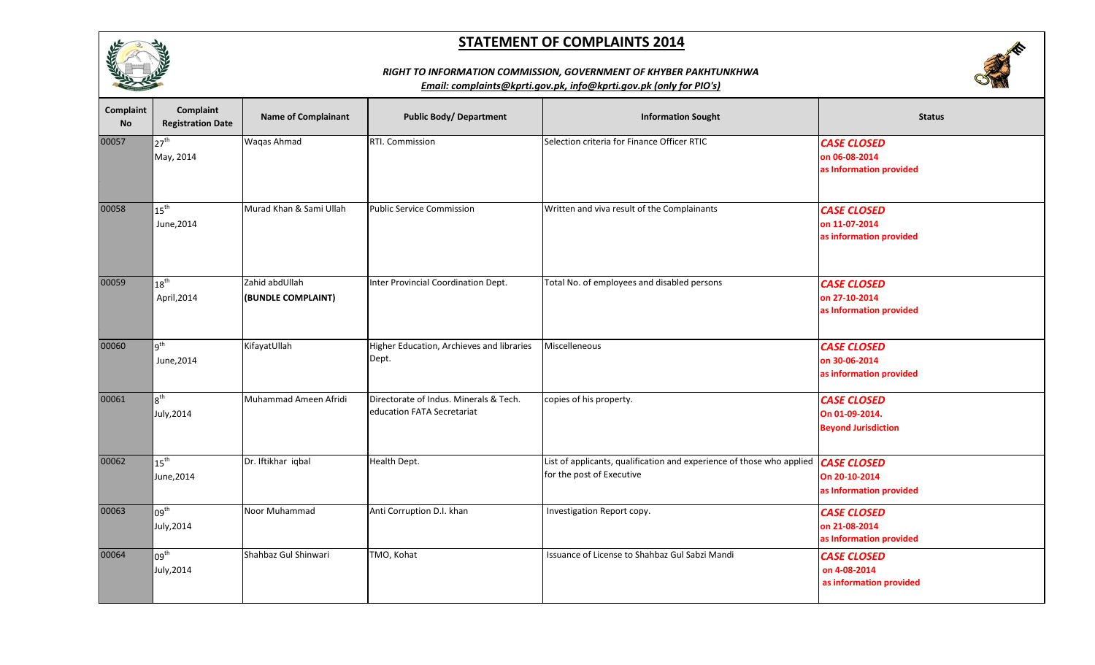

# **SERVICE**

## *RIGHT TO INFORMATION COMMISSION, GOVERNMENT OF KHYBER PAKHTUNKHWA*

| Complaint<br><b>No</b> | Complaint<br><b>Registration Date</b> | <b>Name of Complainant</b>           | <b>Public Body/ Department</b>                                       | <b>Information Sought</b>                                                                                        | <b>Status</b>                                                      |
|------------------------|---------------------------------------|--------------------------------------|----------------------------------------------------------------------|------------------------------------------------------------------------------------------------------------------|--------------------------------------------------------------------|
| 00057                  | 27 <sup>th</sup><br>May, 2014         | Waqas Ahmad                          | RTI. Commission                                                      | Selection criteria for Finance Officer RTIC                                                                      | <b>CASE CLOSED</b><br>on 06-08-2014<br>as Information provided     |
| 00058                  | $15^{\text{th}}$<br>June, 2014        | Murad Khan & Sami Ullah              | <b>Public Service Commission</b>                                     | Written and viva result of the Complainants                                                                      | <b>CASE CLOSED</b><br>on 11-07-2014<br>as information provided     |
| 00059                  | $18^{\text{th}}$<br>April, 2014       | Zahid abdUllah<br>(BUNDLE COMPLAINT) | Inter Provincial Coordination Dept.                                  | Total No. of employees and disabled persons                                                                      | <b>CASE CLOSED</b><br>on 27-10-2014<br>as Information provided     |
| 00060                  | g <sup>th</sup><br>June, 2014         | KifayatUllah                         | Higher Education, Archieves and libraries<br>Dept.                   | Miscelleneous                                                                                                    | <b>CASE CLOSED</b><br>on 30-06-2014<br>as information provided     |
| 00061                  | 8 <sup>th</sup><br>July, 2014         | Muhammad Ameen Afridi                | Directorate of Indus. Minerals & Tech.<br>education FATA Secretariat | copies of his property.                                                                                          | <b>CASE CLOSED</b><br>On 01-09-2014.<br><b>Beyond Jurisdiction</b> |
| 00062                  | $15^{\text{th}}$<br>June, 2014        | Dr. Iftikhar iqbal                   | Health Dept.                                                         | List of applicants, qualification and experience of those who applied   CASE CLOSED<br>for the post of Executive | On 20-10-2014<br>as Information provided                           |
| 00063                  | 09 <sup>th</sup><br>July, 2014        | Noor Muhammad                        | Anti Corruption D.I. khan                                            | Investigation Report copy.                                                                                       | <b>CASE CLOSED</b><br>on 21-08-2014<br>as Information provided     |
| 00064                  | 09 <sup>th</sup><br>July, 2014        | Shahbaz Gul Shinwari                 | TMO, Kohat                                                           | Issuance of License to Shahbaz Gul Sabzi Mandi                                                                   | <b>CASE CLOSED</b><br>on 4-08-2014<br>as information provided      |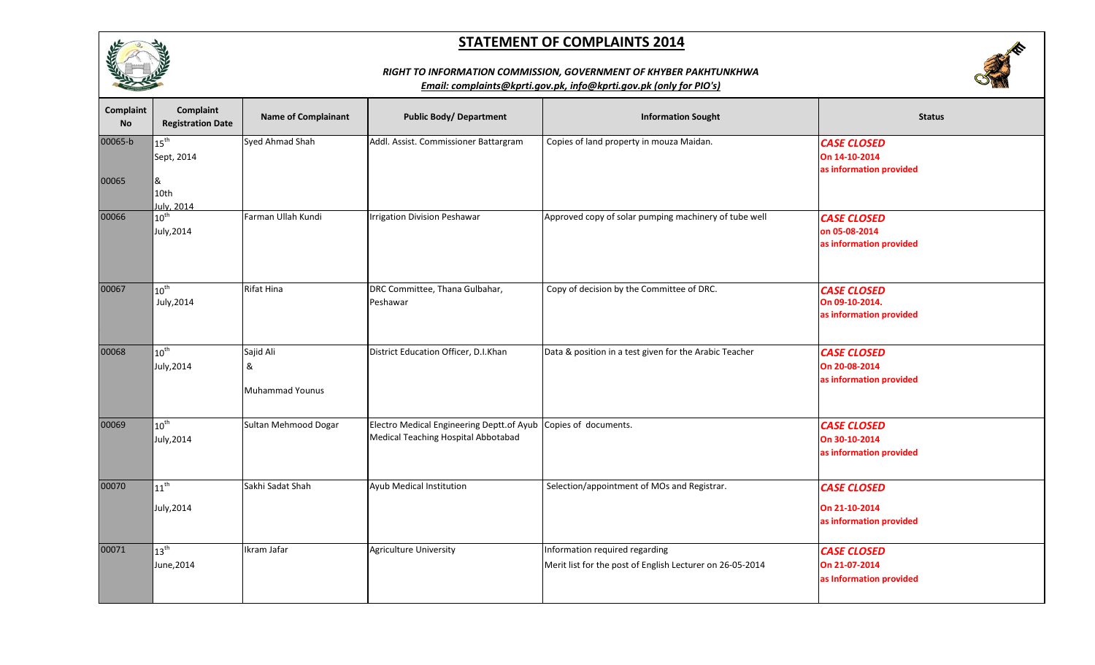



## *RIGHT TO INFORMATION COMMISSION, GOVERNMENT OF KHYBER PAKHTUNKHWA*

| Complaint<br>No | Complaint<br><b>Registration Date</b> | <b>Name of Complainant</b>               | <b>Public Body/ Department</b>                                                   | <b>Information Sought</b>                                                                   | <b>Status</b>                                                   |
|-----------------|---------------------------------------|------------------------------------------|----------------------------------------------------------------------------------|---------------------------------------------------------------------------------------------|-----------------------------------------------------------------|
| 00065-b         | $15^{\text{th}}$<br>Sept, 2014        | Syed Ahmad Shah                          | Addl. Assist. Commissioner Battargram                                            | Copies of land property in mouza Maidan.                                                    | <b>CASE CLOSED</b><br>On 14-10-2014<br>as information provided  |
| 00065           | &<br>10th<br>July, 2014               |                                          |                                                                                  |                                                                                             |                                                                 |
| 00066           | $10^{\text{th}}$<br>July, 2014        | Farman Ullah Kundi                       | <b>Irrigation Division Peshawar</b>                                              | Approved copy of solar pumping machinery of tube well                                       | <b>CASE CLOSED</b><br>on 05-08-2014<br>as information provided  |
| 00067           | $10^{\text{th}}$<br>July, 2014        | Rifat Hina                               | DRC Committee, Thana Gulbahar,<br>Peshawar                                       | Copy of decision by the Committee of DRC.                                                   | <b>CASE CLOSED</b><br>On 09-10-2014.<br>as information provided |
| 00068           | $10^{\text{th}}$<br>July, 2014        | Sajid Ali<br>&<br><b>Muhammad Younus</b> | District Education Officer, D.I.Khan                                             | Data & position in a test given for the Arabic Teacher                                      | <b>CASE CLOSED</b><br>On 20-08-2014<br>as information provided  |
| 00069           | $10^{\text{th}}$<br>July, 2014        | Sultan Mehmood Dogar                     | Electro Medical Engineering Deptt.of Ayub<br>Medical Teaching Hospital Abbotabad | Copies of documents.                                                                        | <b>CASE CLOSED</b><br>On 30-10-2014<br>as information provided  |
| 00070           | $11^{th}$<br>July, 2014               | Sakhi Sadat Shah                         | Ayub Medical Institution                                                         | Selection/appointment of MOs and Registrar.                                                 | <b>CASE CLOSED</b><br>On 21-10-2014<br>as information provided  |
| 00071           | $13^{th}$<br>June, 2014               | kram Jafar                               | <b>Agriculture University</b>                                                    | Information required regarding<br>Merit list for the post of English Lecturer on 26-05-2014 | <b>CASE CLOSED</b><br>On 21-07-2014<br>as Information provided  |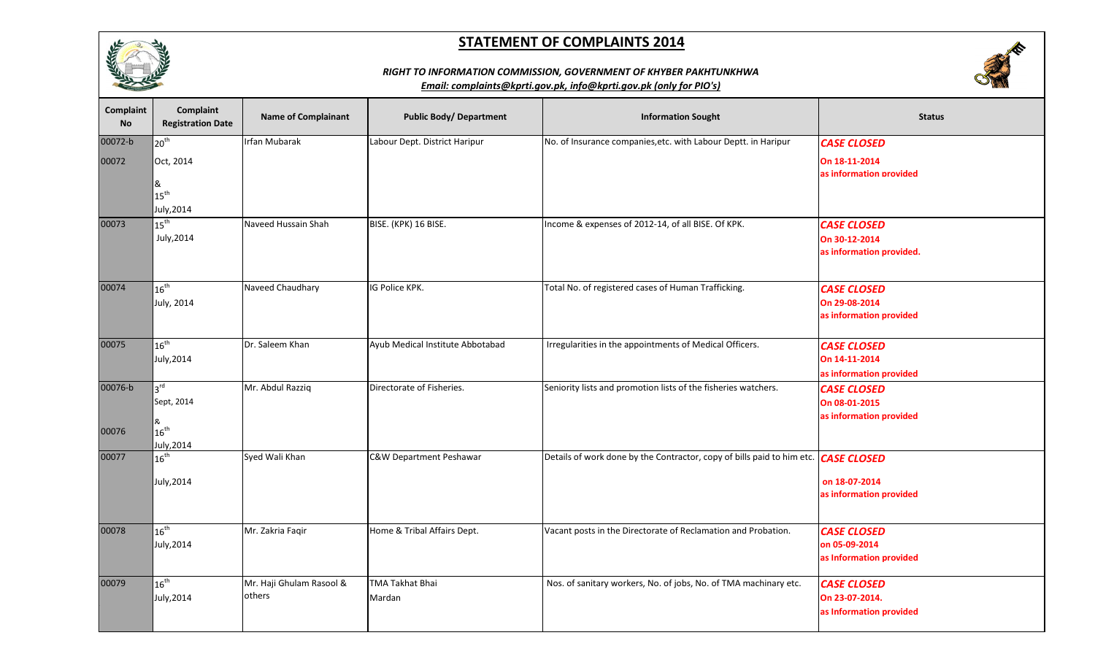



## *RIGHT TO INFORMATION COMMISSION, GOVERNMENT OF KHYBER PAKHTUNKHWA*

| Complaint<br>No  | <b>Complaint</b><br><b>Registration Date</b> | <b>Name of Complainant</b>         | <b>Public Body/ Department</b>   | <b>Information Sought</b>                                                          | <b>Status</b>                                                   |
|------------------|----------------------------------------------|------------------------------------|----------------------------------|------------------------------------------------------------------------------------|-----------------------------------------------------------------|
| 00072-b<br>00072 | 20 <sup>th</sup><br>Oct, 2014<br>&           | Irfan Mubarak                      | Labour Dept. District Haripur    | No. of Insurance companies, etc. with Labour Deptt. in Haripur                     | <b>CASE CLOSED</b><br>On 18-11-2014<br>as information provided  |
|                  | $15^{\text{th}}$<br>July, 2014               |                                    |                                  |                                                                                    |                                                                 |
| 00073            | $15^{\text{th}}$<br>July, 2014               | Naveed Hussain Shah                | BISE. (KPK) 16 BISE.             | Income & expenses of 2012-14, of all BISE. Of KPK.                                 | <b>CASE CLOSED</b><br>On 30-12-2014<br>as information provided. |
| 00074            | $16^{\text{th}}$<br>July, 2014               | Naveed Chaudhary                   | IG Police KPK.                   | Total No. of registered cases of Human Trafficking.                                | <b>CASE CLOSED</b><br>On 29-08-2014<br>as information provided  |
| 00075            | $16^{\text{th}}$<br>July, 2014               | Dr. Saleem Khan                    | Ayub Medical Institute Abbotabad | Irregularities in the appointments of Medical Officers.                            | <b>CASE CLOSED</b><br>On 14-11-2014<br>as information provided  |
| 00076-b          | 3 <sup>rd</sup><br>Sept, 2014<br>ጼ           | Mr. Abdul Razziq                   | Directorate of Fisheries.        | Seniority lists and promotion lists of the fisheries watchers.                     | <b>CASE CLOSED</b><br>On 08-01-2015<br>as information provided  |
| 00076            | $16^{\text{th}}$<br>July, 2014               |                                    |                                  |                                                                                    |                                                                 |
| 00077            | $16^{\text{th}}$<br>July, 2014               | Syed Wali Khan                     | C&W Department Peshawar          | Details of work done by the Contractor, copy of bills paid to him etc. CASE CLOSED | on 18-07-2014<br>as information provided                        |
| 00078            | $16^{\text{th}}$<br>July, 2014               | Mr. Zakria Faqir                   | Home & Tribal Affairs Dept.      | Vacant posts in the Directorate of Reclamation and Probation.                      | <b>CASE CLOSED</b><br>on 05-09-2014<br>as Information provided  |
| 00079            | $16^{\text{th}}$<br>July, 2014               | Mr. Haji Ghulam Rasool &<br>others | <b>TMA Takhat Bhai</b><br>Mardan | Nos. of sanitary workers, No. of jobs, No. of TMA machinary etc.                   | <b>CASE CLOSED</b><br>On 23-07-2014.<br>as Information provided |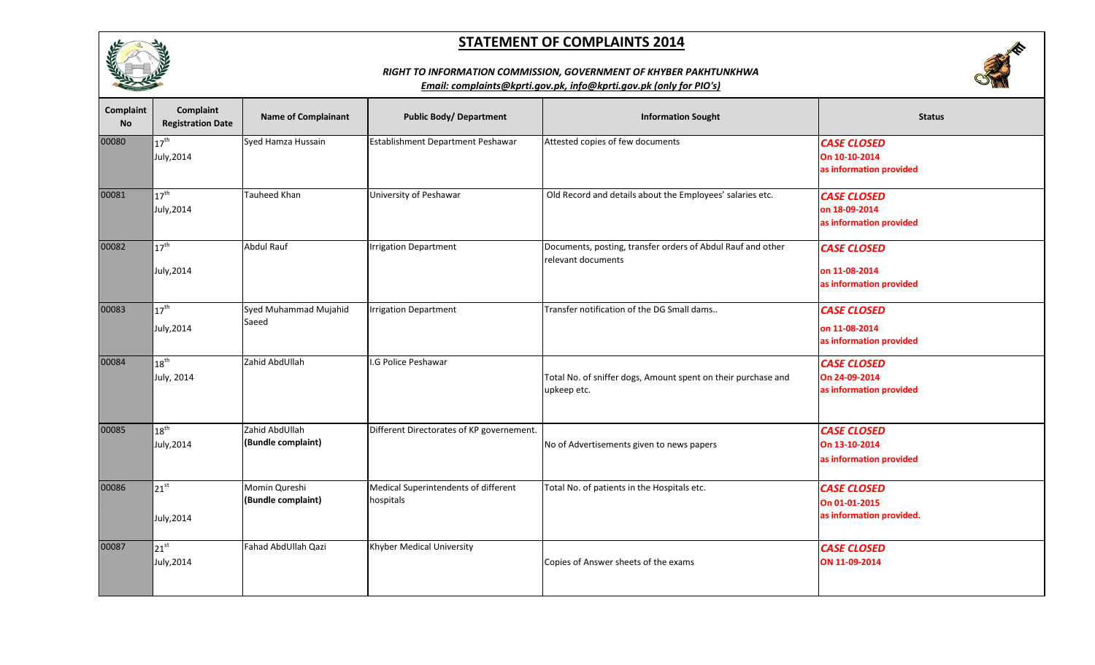

# **SERVICE**

## *RIGHT TO INFORMATION COMMISSION, GOVERNMENT OF KHYBER PAKHTUNKHWA*

| <b>Complaint</b><br><b>No</b> | Complaint<br><b>Registration Date</b> | <b>Name of Complainant</b>           | <b>Public Body/ Department</b>                    | <b>Information Sought</b>                                                         | <b>Status</b>                                                   |
|-------------------------------|---------------------------------------|--------------------------------------|---------------------------------------------------|-----------------------------------------------------------------------------------|-----------------------------------------------------------------|
| 00080                         | $17^{\text{th}}$<br>July, 2014        | Syed Hamza Hussain                   | Establishment Department Peshawar                 | Attested copies of few documents                                                  | <b>CASE CLOSED</b><br>On 10-10-2014<br>as information provided  |
| 00081                         | $17^{\text{th}}$<br>July, 2014        | Tauheed Khan                         | University of Peshawar                            | Old Record and details about the Employees' salaries etc.                         | <b>CASE CLOSED</b><br>on 18-09-2014<br>as information provided  |
| 00082                         | $17^{\text{th}}$<br>July, 2014        | Abdul Rauf                           | <b>Irrigation Department</b>                      | Documents, posting, transfer orders of Abdul Rauf and other<br>relevant documents | <b>CASE CLOSED</b><br>on 11-08-2014<br>as information provided  |
| 00083                         | $17^{\text{th}}$<br>July, 2014        | Syed Muhammad Mujahid<br>Saeed       | <b>Irrigation Department</b>                      | Transfer notification of the DG Small dams                                        | <b>CASE CLOSED</b><br>on 11-08-2014<br>as information provided  |
| 00084                         | $18^{\text{th}}$<br>July, 2014        | Zahid AbdUllah                       | I.G Police Peshawar                               | Total No. of sniffer dogs, Amount spent on their purchase and<br>upkeep etc.      | <b>CASE CLOSED</b><br>On 24-09-2014<br>as information provided  |
| 00085                         | $18^{\text{th}}$<br>July, 2014        | Zahid AbdUllah<br>(Bundle complaint) | Different Directorates of KP governement.         | No of Advertisements given to news papers                                         | <b>CASE CLOSED</b><br>On 13-10-2014<br>as information provided  |
| 00086                         | $21^{st}$<br>July, 2014               | Momin Qureshi<br>(Bundle complaint)  | Medical Superintendents of different<br>hospitals | Total No. of patients in the Hospitals etc.                                       | <b>CASE CLOSED</b><br>On 01-01-2015<br>as information provided. |
| 00087                         | $21^{st}$<br>July, 2014               | Fahad AbdUllah Qazi                  | Khyber Medical University                         | Copies of Answer sheets of the exams                                              | <b>CASE CLOSED</b><br>ON 11-09-2014                             |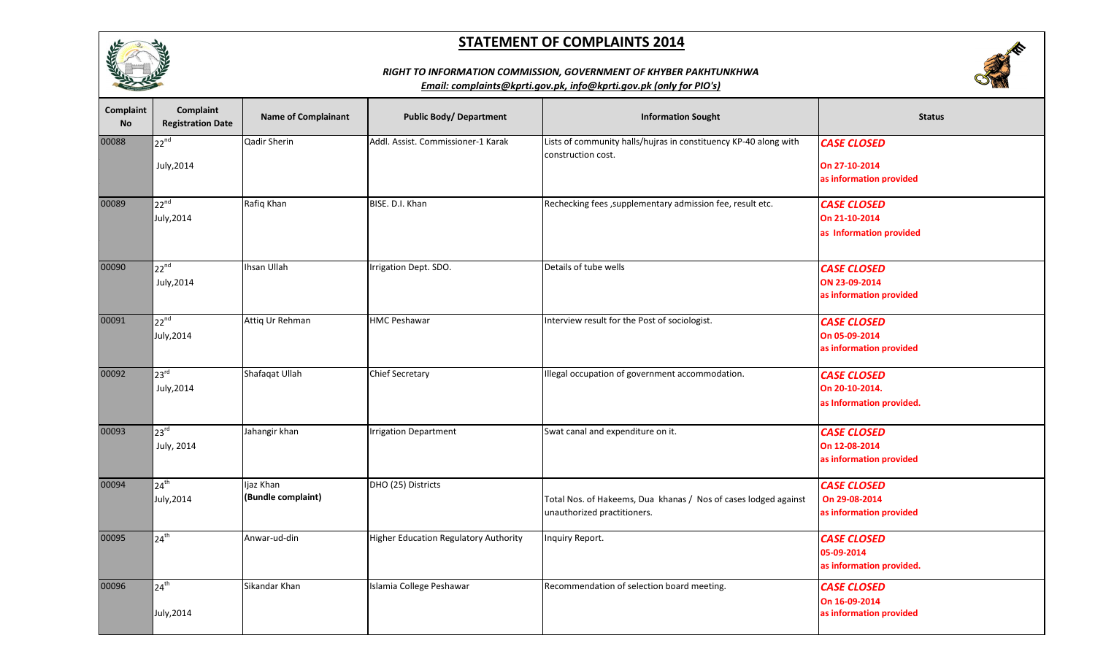

# **REA**

## *RIGHT TO INFORMATION COMMISSION, GOVERNMENT OF KHYBER PAKHTUNKHWA*

| Complaint<br><b>No</b> | Complaint<br><b>Registration Date</b> | <b>Name of Complainant</b>      | <b>Public Body/ Department</b>        | <b>Information Sought</b>                                                                      | <b>Status</b>                                                    |
|------------------------|---------------------------------------|---------------------------------|---------------------------------------|------------------------------------------------------------------------------------------------|------------------------------------------------------------------|
| 00088                  | $22^{nd}$<br>July, 2014               | Qadir Sherin                    | Addl. Assist. Commissioner-1 Karak    | Lists of community halls/hujras in constituency KP-40 along with<br>construction cost.         | <b>CASE CLOSED</b><br>On 27-10-2014<br>as information provided   |
| 00089                  | $22^{nd}$<br>July, 2014               | Rafiq Khan                      | BISE. D.I. Khan                       | Rechecking fees , supplementary admission fee, result etc.                                     | <b>CASE CLOSED</b><br>On 21-10-2014<br>as Information provided   |
| 00090                  | $22^{nd}$<br>July, 2014               | Ihsan Ullah                     | Irrigation Dept. SDO.                 | Details of tube wells                                                                          | <b>CASE CLOSED</b><br>ON 23-09-2014<br>as information provided   |
| 00091                  | $22^{nd}$<br>July, 2014               | Attiq Ur Rehman                 | <b>HMC Peshawar</b>                   | Interview result for the Post of sociologist.                                                  | <b>CASE CLOSED</b><br>On 05-09-2014<br>as information provided   |
| 00092                  | 23 <sup>rd</sup><br>July, 2014        | Shafaqat Ullah                  | <b>Chief Secretary</b>                | Illegal occupation of government accommodation.                                                | <b>CASE CLOSED</b><br>On 20-10-2014.<br>as Information provided. |
| 00093                  | 23 <sup>rd</sup><br>July, 2014        | Jahangir khan                   | <b>Irrigation Department</b>          | Swat canal and expenditure on it.                                                              | <b>CASE CLOSED</b><br>On 12-08-2014<br>as information provided   |
| 00094                  | 24 <sup>th</sup><br>July, 2014        | Ijaz Khan<br>(Bundle complaint) | DHO (25) Districts                    | Total Nos. of Hakeems, Dua khanas / Nos of cases lodged against<br>unauthorized practitioners. | <b>CASE CLOSED</b><br>On 29-08-2014<br>as information provided   |
| 00095                  | $24^{th}$                             | Anwar-ud-din                    | Higher Education Regulatory Authority | Inquiry Report.                                                                                | <b>CASE CLOSED</b><br>05-09-2014<br>as information provided.     |
| 00096                  | $24^{th}$<br>July, 2014               | Sikandar Khan                   | Islamia College Peshawar              | Recommendation of selection board meeting.                                                     | <b>CASE CLOSED</b><br>On 16-09-2014<br>as information provided   |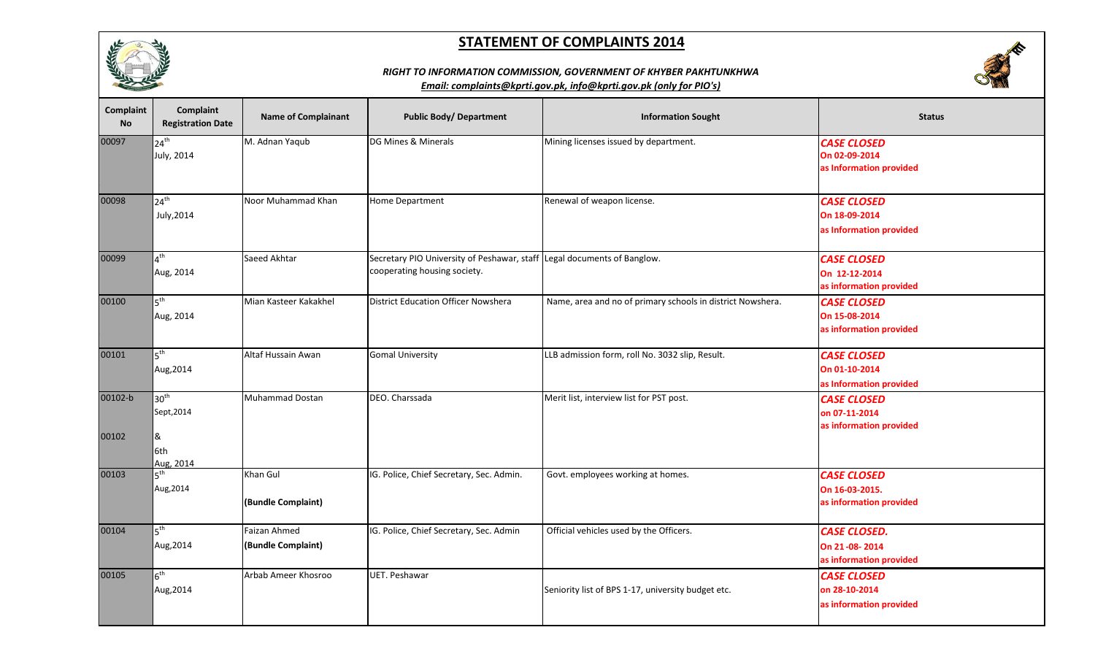

## *RIGHT TO INFORMATION COMMISSION, GOVERNMENT OF KHYBER PAKHTUNKHWA*



| Complaint<br><b>No</b> | <b>Complaint</b><br><b>Registration Date</b>            | <b>Name of Complainant</b>         | <b>Public Body/ Department</b>                                                                          | <b>Information Sought</b>                                  | <b>Status</b>                                                   |
|------------------------|---------------------------------------------------------|------------------------------------|---------------------------------------------------------------------------------------------------------|------------------------------------------------------------|-----------------------------------------------------------------|
| 00097                  | $24^{\text{th}}$<br>July, 2014                          | M. Adnan Yaqub                     | DG Mines & Minerals                                                                                     | Mining licenses issued by department.                      | <b>CASE CLOSED</b><br>On 02-09-2014<br>as Information provided  |
| 00098                  | $24^{th}$<br>July, 2014                                 | Noor Muhammad Khan                 | Home Department                                                                                         | Renewal of weapon license.                                 | <b>CASE CLOSED</b><br>On 18-09-2014<br>as Information provided  |
| 00099                  | $4^{\text{th}}$<br>Aug, 2014                            | Saeed Akhtar                       | Secretary PIO University of Peshawar, staff Legal documents of Banglow.<br>cooperating housing society. |                                                            | <b>CASE CLOSED</b><br>On 12-12-2014<br>as information provided  |
| 00100                  | 5 <sup>th</sup><br>Aug, 2014                            | Mian Kasteer Kakakhel              | <b>District Education Officer Nowshera</b>                                                              | Name, area and no of primary schools in district Nowshera. | <b>CASE CLOSED</b><br>On 15-08-2014<br>as information provided  |
| 00101                  | 5 <sup>th</sup><br>Aug, 2014                            | Altaf Hussain Awan                 | <b>Gomal University</b>                                                                                 | LLB admission form, roll No. 3032 slip, Result.            | <b>CASE CLOSED</b><br>On 01-10-2014<br>as Information provided  |
| 00102-b<br>00102       | 30 <sup>th</sup><br>Sept, 2014<br>&<br>6th<br>Aug. 2014 | <b>Muhammad Dostan</b>             | DEO. Charssada                                                                                          | Merit list, interview list for PST post.                   | <b>CASE CLOSED</b><br>on 07-11-2014<br>as information provided  |
| 00103                  | $5^{\text{th}}$<br>Aug, 2014                            | Khan Gul<br>(Bundle Complaint)     | IG. Police, Chief Secretary, Sec. Admin.                                                                | Govt. employees working at homes.                          | <b>CASE CLOSED</b><br>On 16-03-2015.<br>as information provided |
| 00104                  | $5^{\text{th}}$<br>Aug, 2014                            | Faizan Ahmed<br>(Bundle Complaint) | IG. Police, Chief Secretary, Sec. Admin                                                                 | Official vehicles used by the Officers.                    | <b>CASE CLOSED.</b><br>On 21-08-2014<br>as information provided |
| 00105                  | $6^{\text{th}}$<br>Aug, 2014                            | Arbab Ameer Khosroo                | UET. Peshawar                                                                                           | Seniority list of BPS 1-17, university budget etc.         | <b>CASE CLOSED</b><br>on 28-10-2014<br>as information provided  |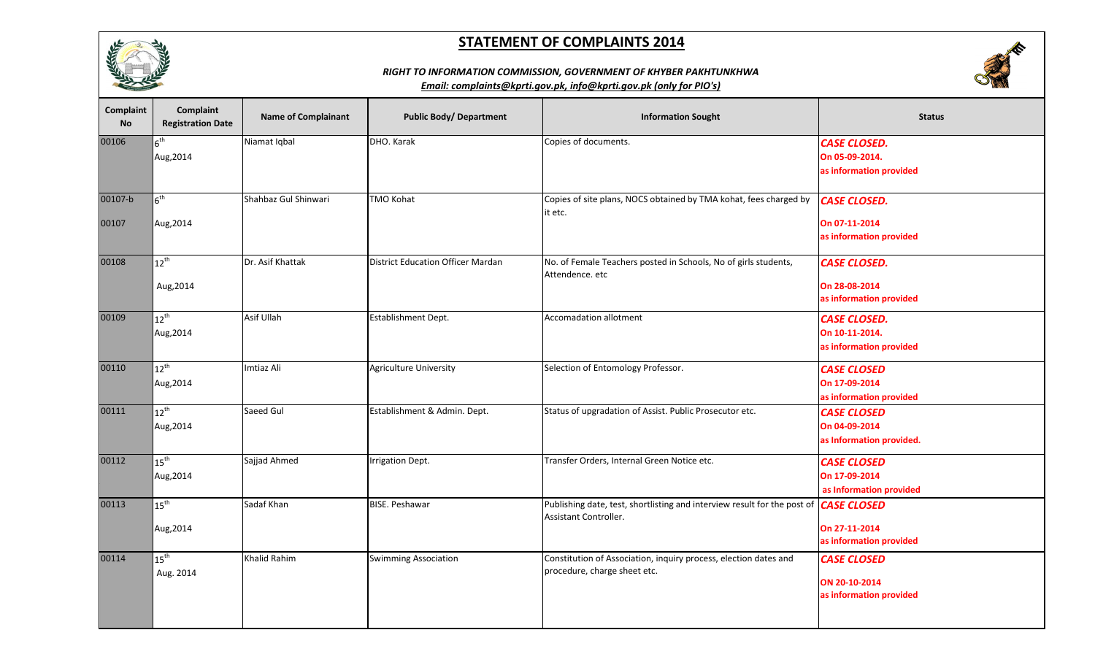



## *RIGHT TO INFORMATION COMMISSION, GOVERNMENT OF KHYBER PAKHTUNKHWA*

| Complaint<br><b>No</b> | Complaint<br><b>Registration Date</b> | <b>Name of Complainant</b> | <b>Public Body/ Department</b>           | <b>Information Sought</b>                                                                                            | <b>Status</b>            |
|------------------------|---------------------------------------|----------------------------|------------------------------------------|----------------------------------------------------------------------------------------------------------------------|--------------------------|
| 00106                  | $6^{\text{th}}$                       | Niamat Iqbal               | DHO. Karak                               | Copies of documents.                                                                                                 | <b>CASE CLOSED.</b>      |
|                        | Aug, 2014                             |                            |                                          |                                                                                                                      | On 05-09-2014.           |
|                        |                                       |                            |                                          |                                                                                                                      | as information provided  |
| 00107-b                | $6^{\text{th}}$                       | Shahbaz Gul Shinwari       | <b>TMO Kohat</b>                         | Copies of site plans, NOCS obtained by TMA kohat, fees charged by<br>it etc.                                         | <b>CASE CLOSED.</b>      |
| 00107                  | Aug, 2014                             |                            |                                          |                                                                                                                      | On 07-11-2014            |
|                        |                                       |                            |                                          |                                                                                                                      | as information provided  |
| 00108                  | $12^{\text{th}}$                      | Dr. Asif Khattak           | <b>District Education Officer Mardan</b> | No. of Female Teachers posted in Schools, No of girls students,                                                      | <b>CASE CLOSED.</b>      |
|                        |                                       |                            |                                          | Attendence. etc                                                                                                      |                          |
|                        | Aug, 2014                             |                            |                                          |                                                                                                                      | On 28-08-2014            |
|                        |                                       |                            |                                          |                                                                                                                      | as information provided  |
| 00109                  | $12^{th}$                             | Asif Ullah                 | Establishment Dept.                      | <b>Accomadation allotment</b>                                                                                        | <b>CASE CLOSED.</b>      |
|                        | Aug, 2014                             |                            |                                          |                                                                                                                      | On 10-11-2014.           |
|                        |                                       |                            |                                          |                                                                                                                      | as information provided  |
| 00110                  | $12^{\mathsf{th}}$                    | Imtiaz Ali                 | <b>Agriculture University</b>            | Selection of Entomology Professor.                                                                                   | <b>CASE CLOSED</b>       |
|                        | Aug, 2014                             |                            |                                          |                                                                                                                      | On 17-09-2014            |
|                        |                                       |                            |                                          |                                                                                                                      | as information provided  |
| 00111                  | $12^{\mathsf{th}}$                    | Saeed Gul                  | Establishment & Admin. Dept.             | Status of upgradation of Assist. Public Prosecutor etc.                                                              | <b>CASE CLOSED</b>       |
|                        | Aug, 2014                             |                            |                                          |                                                                                                                      | On 04-09-2014            |
|                        |                                       |                            |                                          |                                                                                                                      | as Information provided. |
| 00112                  | 15 <sup>th</sup>                      | Sajjad Ahmed               | Irrigation Dept.                         | Transfer Orders, Internal Green Notice etc.                                                                          | <b>CASE CLOSED</b>       |
|                        | Aug, 2014                             |                            |                                          |                                                                                                                      | On 17-09-2014            |
|                        |                                       |                            |                                          |                                                                                                                      | as Information provided  |
| 00113                  | $15^{\text{th}}$                      | Sadaf Khan                 | <b>BISE. Peshawar</b>                    | Publishing date, test, shortlisting and interview result for the post of <b>CASE CLOSED</b><br>Assistant Controller. |                          |
|                        | Aug, 2014                             |                            |                                          |                                                                                                                      | On 27-11-2014            |
|                        |                                       |                            |                                          |                                                                                                                      | as information provided  |
| 00114                  | $15^{\text{th}}$                      | Khalid Rahim               | <b>Swimming Association</b>              | Constitution of Association, inquiry process, election dates and                                                     | <b>CASE CLOSED</b>       |
|                        | Aug. 2014                             |                            |                                          | procedure, charge sheet etc.                                                                                         | ON 20-10-2014            |
|                        |                                       |                            |                                          |                                                                                                                      | as information provided  |
|                        |                                       |                            |                                          |                                                                                                                      |                          |
|                        |                                       |                            |                                          |                                                                                                                      |                          |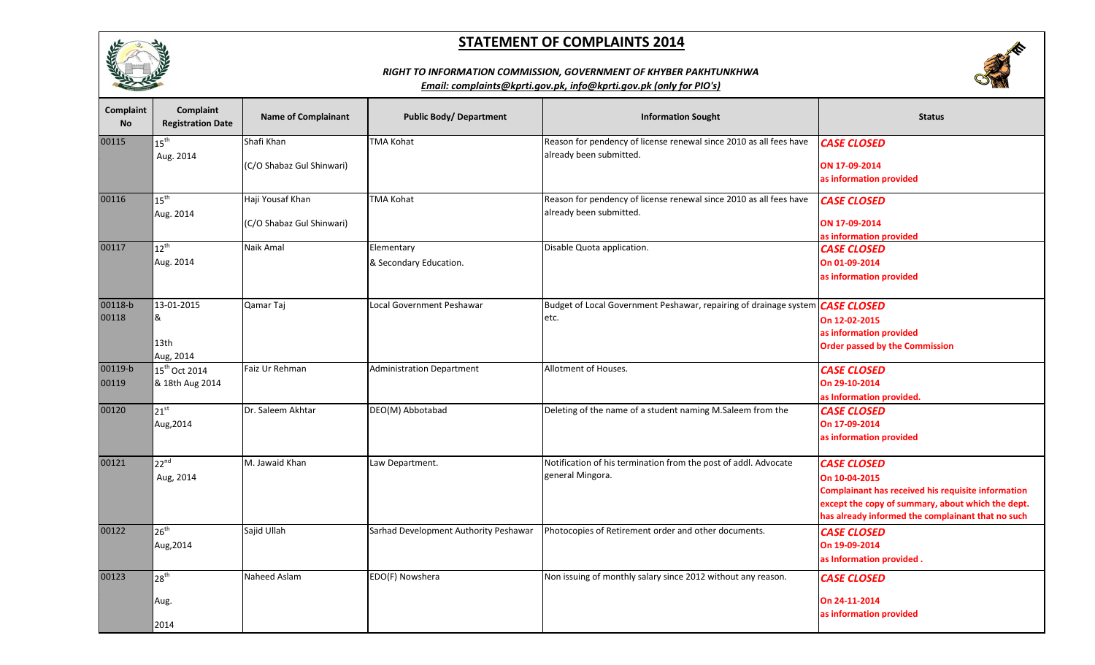





| Complaint<br><b>No</b> | Complaint<br><b>Registration Date</b> | <b>Name of Complainant</b> | <b>Public Body/ Department</b>        | <b>Information Sought</b>                                                     | <b>Status</b>                                             |
|------------------------|---------------------------------------|----------------------------|---------------------------------------|-------------------------------------------------------------------------------|-----------------------------------------------------------|
| 00115                  | $15^{\sf th}$                         | Shafi Khan                 | <b>TMA Kohat</b>                      | Reason for pendency of license renewal since 2010 as all fees have            | <b>CASE CLOSED</b>                                        |
|                        | Aug. 2014                             | (C/O Shabaz Gul Shinwari)  |                                       | already been submitted.                                                       | ON 17-09-2014                                             |
|                        |                                       |                            |                                       |                                                                               | as information provided                                   |
| 00116                  | $15^{\text{th}}$                      | Haji Yousaf Khan           | <b>TMA Kohat</b>                      | Reason for pendency of license renewal since 2010 as all fees have            | <b>CASE CLOSED</b>                                        |
|                        | Aug. 2014                             | (C/O Shabaz Gul Shinwari)  |                                       | already been submitted.                                                       | ON 17-09-2014                                             |
| 00117                  | $12^{\text{th}}$                      | Naik Amal                  | Elementary                            | Disable Quota application.                                                    | as information provided                                   |
|                        | Aug. 2014                             |                            | & Secondary Education.                |                                                                               | <b>CASE CLOSED</b><br>On 01-09-2014                       |
|                        |                                       |                            |                                       |                                                                               | as information provided                                   |
|                        |                                       |                            |                                       |                                                                               |                                                           |
| 00118-b                | 13-01-2015                            | Qamar Taj                  | Local Government Peshawar             | Budget of Local Government Peshawar, repairing of drainage system CASE CLOSED |                                                           |
| 00118                  | &                                     |                            |                                       | etc.                                                                          | On 12-02-2015                                             |
|                        |                                       |                            |                                       |                                                                               | as information provided                                   |
|                        | 13th<br>Aug, 2014                     |                            |                                       |                                                                               | <b>Order passed by the Commission</b>                     |
| 00119-b                | 15 <sup>th</sup> Oct 2014             | Faiz Ur Rehman             | <b>Administration Department</b>      | Allotment of Houses.                                                          | <b>CASE CLOSED</b>                                        |
| 00119                  | & 18th Aug 2014                       |                            |                                       |                                                                               | On 29-10-2014                                             |
|                        |                                       |                            |                                       |                                                                               | as Information provided.                                  |
| 00120                  | $21^{st}$                             | Dr. Saleem Akhtar          | DEO(M) Abbotabad                      | Deleting of the name of a student naming M.Saleem from the                    | <b>CASE CLOSED</b>                                        |
|                        | Aug, 2014                             |                            |                                       |                                                                               | On 17-09-2014                                             |
|                        |                                       |                            |                                       |                                                                               | as information provided                                   |
| 00121                  | $22^{nd}$                             | M. Jawaid Khan             | Law Department.                       | Notification of his termination from the post of addl. Advocate               | <b>CASE CLOSED</b>                                        |
|                        | Aug, 2014                             |                            |                                       | general Mingora.                                                              | On 10-04-2015                                             |
|                        |                                       |                            |                                       |                                                                               | <b>Complainant has received his requisite information</b> |
|                        |                                       |                            |                                       |                                                                               | except the copy of summary, about which the dept.         |
|                        |                                       |                            |                                       |                                                                               | has already informed the complainant that no such         |
| 00122                  | $26^{th}$                             | Sajid Ullah                | Sarhad Development Authority Peshawar | Photocopies of Retirement order and other documents.                          | <b>CASE CLOSED</b>                                        |
|                        | Aug, 2014                             |                            |                                       |                                                                               | On 19-09-2014                                             |
|                        |                                       |                            |                                       |                                                                               | as Information provided.                                  |
| 00123                  | 28 <sup>th</sup>                      | Naheed Aslam               | EDO(F) Nowshera                       | Non issuing of monthly salary since 2012 without any reason.                  | <b>CASE CLOSED</b>                                        |
|                        | Aug.                                  |                            |                                       |                                                                               | On 24-11-2014                                             |
|                        |                                       |                            |                                       |                                                                               | as information provided                                   |
|                        | 2014                                  |                            |                                       |                                                                               |                                                           |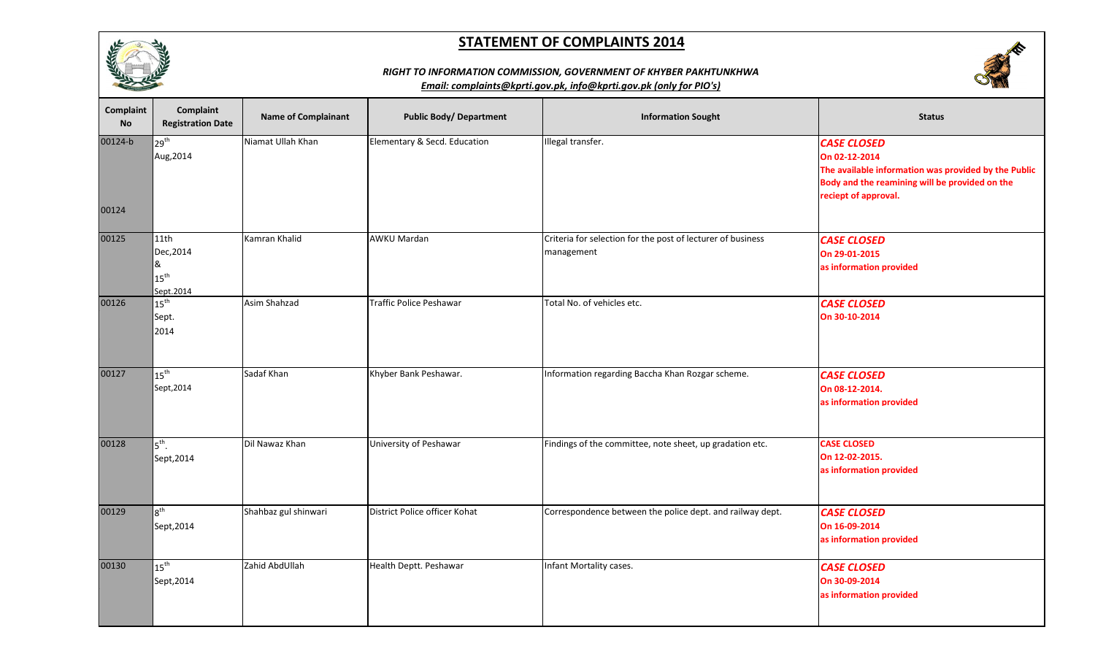



|--|

| Complaint<br><b>No</b> | <b>Complaint</b><br><b>Registration Date</b>            | <b>Name of Complainant</b> | <b>Public Body/ Department</b> | <b>Information Sought</b>                                                 | <b>Status</b>                                                                                                                                                         |
|------------------------|---------------------------------------------------------|----------------------------|--------------------------------|---------------------------------------------------------------------------|-----------------------------------------------------------------------------------------------------------------------------------------------------------------------|
| 00124-b                | 29 <sup>th</sup><br>Aug, 2014                           | Niamat Ullah Khan          | Elementary & Secd. Education   | Illegal transfer.                                                         | <b>CASE CLOSED</b><br>On 02-12-2014<br>The available information was provided by the Public<br>Body and the reamining will be provided on the<br>reciept of approval. |
| 00124                  |                                                         |                            |                                |                                                                           |                                                                                                                                                                       |
| 00125                  | 11th<br>Dec, 2014<br>&<br>$15^{\text{th}}$<br>Sept.2014 | Kamran Khalid              | <b>AWKU Mardan</b>             | Criteria for selection for the post of lecturer of business<br>management | <b>CASE CLOSED</b><br>On 29-01-2015<br>as information provided                                                                                                        |
| 00126                  | $15^{\text{th}}$<br>Sept.<br>2014                       | Asim Shahzad               | Traffic Police Peshawar        | Total No. of vehicles etc.                                                | <b>CASE CLOSED</b><br>On 30-10-2014                                                                                                                                   |
| 00127                  | $15^{\text{th}}$<br>Sept, 2014                          | Sadaf Khan                 | Khyber Bank Peshawar.          | Information regarding Baccha Khan Rozgar scheme.                          | <b>CASE CLOSED</b><br>On 08-12-2014.<br>as information provided                                                                                                       |
| 00128                  | $5^{\text{th}}$ .<br>Sept, 2014                         | Dil Nawaz Khan             | University of Peshawar         | Findings of the committee, note sheet, up gradation etc.                  | <b>CASE CLOSED</b><br>On 12-02-2015.<br>as information provided                                                                                                       |
| 00129                  | $8^{\text{th}}$<br>Sept, 2014                           | Shahbaz gul shinwari       | District Police officer Kohat  | Correspondence between the police dept. and railway dept.                 | <b>CASE CLOSED</b><br>On 16-09-2014<br>as information provided                                                                                                        |
| 00130                  | $15^{\text{th}}$<br>Sept, 2014                          | Zahid AbdUllah             | Health Deptt. Peshawar         | Infant Mortality cases.                                                   | <b>CASE CLOSED</b><br>On 30-09-2014<br>as information provided                                                                                                        |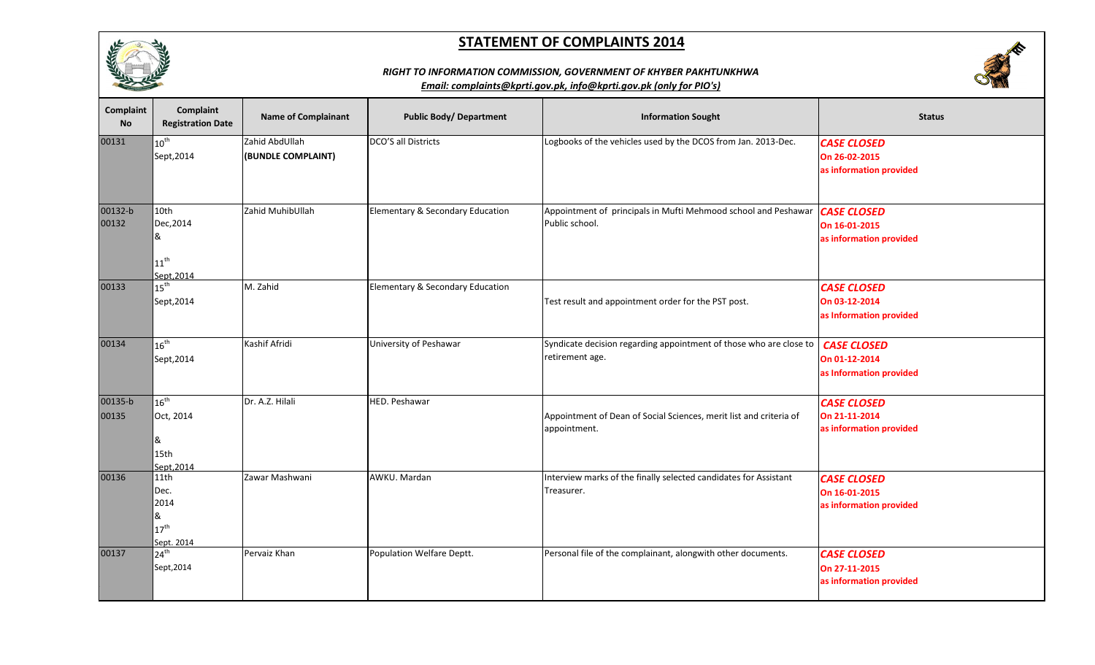



## *RIGHT TO INFORMATION COMMISSION, GOVERNMENT OF KHYBER PAKHTUNKHWA*

| Complaint<br><b>No</b> | Complaint<br><b>Registration Date</b>                        | <b>Name of Complainant</b>           | <b>Public Body/ Department</b>   | <b>Information Sought</b>                                                                      | <b>Status</b>                                                  |
|------------------------|--------------------------------------------------------------|--------------------------------------|----------------------------------|------------------------------------------------------------------------------------------------|----------------------------------------------------------------|
| 00131                  | $10^{\text{th}}$<br>Sept, 2014                               | Zahid AbdUllah<br>(BUNDLE COMPLAINT) | DCO'S all Districts              | Logbooks of the vehicles used by the DCOS from Jan. 2013-Dec.                                  | <b>CASE CLOSED</b><br>On 26-02-2015<br>as information provided |
| 00132-b<br>00132       | 10th<br>Dec, 2014<br>&<br>$11^{\text{th}}$<br>Sept.2014      | Zahid MuhibUllah                     | Elementary & Secondary Education | Appointment of principals in Mufti Mehmood school and Peshawar   CASE CLOSED<br>Public school. | On 16-01-2015<br>as information provided                       |
| 00133                  | $415^{\text{th}}$<br>Sept, 2014                              | M. Zahid                             | Elementary & Secondary Education | Test result and appointment order for the PST post.                                            | <b>CASE CLOSED</b><br>On 03-12-2014<br>as Information provided |
| 00134                  | $16^{\text{th}}$<br>Sept, 2014                               | Kashif Afridi                        | University of Peshawar           | Syndicate decision regarding appointment of those who are close to<br>retirement age.          | <b>CASE CLOSED</b><br>On 01-12-2014<br>as Information provided |
| 00135-b<br>00135       | $-16^{\text{th}}$<br>Oct, 2014<br>&<br>15th<br>Sept.2014     | Dr. A.Z. Hilali                      | HED. Peshawar                    | Appointment of Dean of Social Sciences, merit list and criteria of<br>appointment.             | <b>CASE CLOSED</b><br>On 21-11-2014<br>as information provided |
| 00136                  | 11th<br>Dec.<br>2014<br>&<br>$417^{\text{th}}$<br>Sept. 2014 | Zawar Mashwani                       | AWKU. Mardan                     | Interview marks of the finally selected candidates for Assistant<br>Treasurer.                 | <b>CASE CLOSED</b><br>On 16-01-2015<br>as information provided |
| 00137                  | 24 <sup>th</sup><br>Sept, 2014                               | Pervaiz Khan                         | Population Welfare Deptt.        | Personal file of the complainant, alongwith other documents.                                   | <b>CASE CLOSED</b><br>On 27-11-2015<br>as information provided |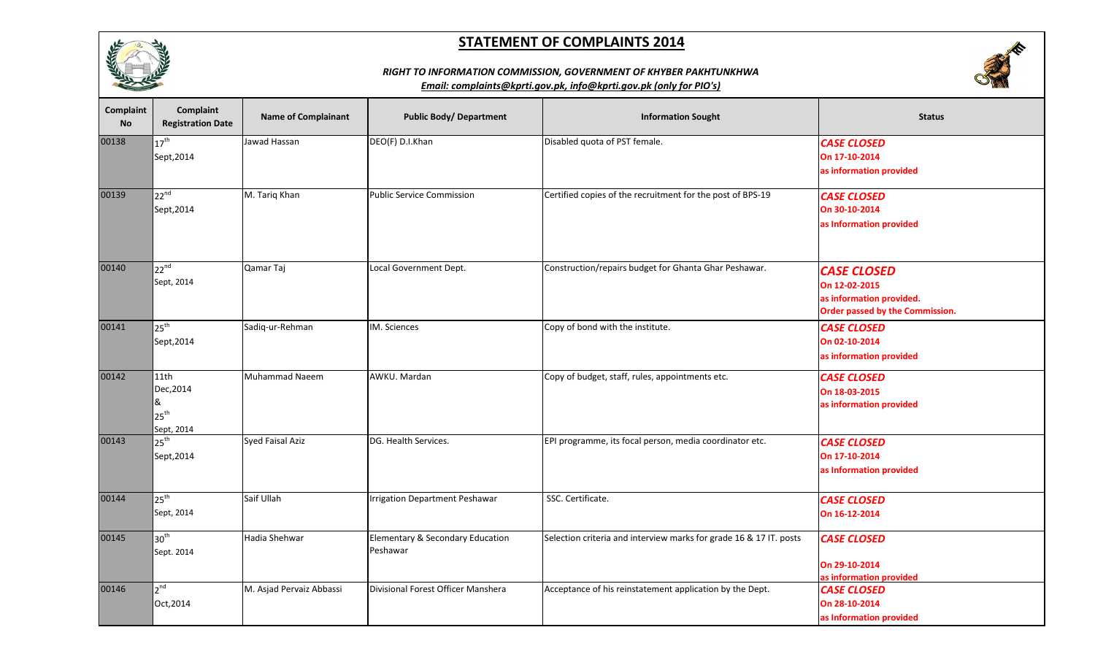

# **SERVICE**

## *RIGHT TO INFORMATION COMMISSION, GOVERNMENT OF KHYBER PAKHTUNKHWA*

| Complaint<br><b>No</b> | Complaint<br><b>Registration Date</b>                    | <b>Name of Complainant</b> | <b>Public Body/ Department</b>                          | <b>Information Sought</b>                                          | <b>Status</b>                                                                                      |
|------------------------|----------------------------------------------------------|----------------------------|---------------------------------------------------------|--------------------------------------------------------------------|----------------------------------------------------------------------------------------------------|
| 00138                  | $17^{\text{th}}$<br>Sept, 2014                           | Jawad Hassan               | DEO(F) D.I.Khan                                         | Disabled quota of PST female.                                      | <b>CASE CLOSED</b><br>On 17-10-2014<br>as information provided                                     |
| 00139                  | $22^{nd}$<br>Sept, 2014                                  | M. Tariq Khan              | <b>Public Service Commission</b>                        | Certified copies of the recruitment for the post of BPS-19         | <b>CASE CLOSED</b><br>On 30-10-2014<br>as Information provided                                     |
| 00140                  | $22^{nd}$<br>Sept, 2014                                  | Qamar Taj                  | Local Government Dept.                                  | Construction/repairs budget for Ghanta Ghar Peshawar.              | <b>CASE CLOSED</b><br>On 12-02-2015<br>as information provided.<br>Order passed by the Commission. |
| 00141                  | $25^{\text{th}}$<br>Sept, 2014                           | Sadiq-ur-Rehman            | IM. Sciences                                            | Copy of bond with the institute.                                   | <b>CASE CLOSED</b><br>On 02-10-2014<br>as information provided                                     |
| 00142                  | 11th<br>Dec, 2014<br>&<br>$25^{\text{th}}$<br>Sept, 2014 | Muhammad Naeem             | AWKU. Mardan                                            | Copy of budget, staff, rules, appointments etc.                    | <b>CASE CLOSED</b><br>On 18-03-2015<br>as information provided                                     |
| 00143                  | 25 <sup>th</sup><br>Sept, 2014                           | Syed Faisal Aziz           | DG. Health Services.                                    | EPI programme, its focal person, media coordinator etc.            | <b>CASE CLOSED</b><br>On 17-10-2014<br>as Information provided                                     |
| 00144                  | 25 <sup>th</sup><br>Sept, 2014                           | Saif Ullah                 | <b>Irrigation Department Peshawar</b>                   | SSC. Certificate.                                                  | <b>CASE CLOSED</b><br>On 16-12-2014                                                                |
| 00145                  | 30 <sup>th</sup><br>Sept. 2014                           | Hadia Shehwar              | <b>Elementary &amp; Secondary Education</b><br>Peshawar | Selection criteria and interview marks for grade 16 & 17 IT. posts | <b>CASE CLOSED</b><br>On 29-10-2014<br>as information provided                                     |
| 00146                  | 2 <sup>nd</sup><br>Oct, 2014                             | M. Asjad Pervaiz Abbassi   | Divisional Forest Officer Manshera                      | Acceptance of his reinstatement application by the Dept.           | <b>CASE CLOSED</b><br>On 28-10-2014<br>as Information provided                                     |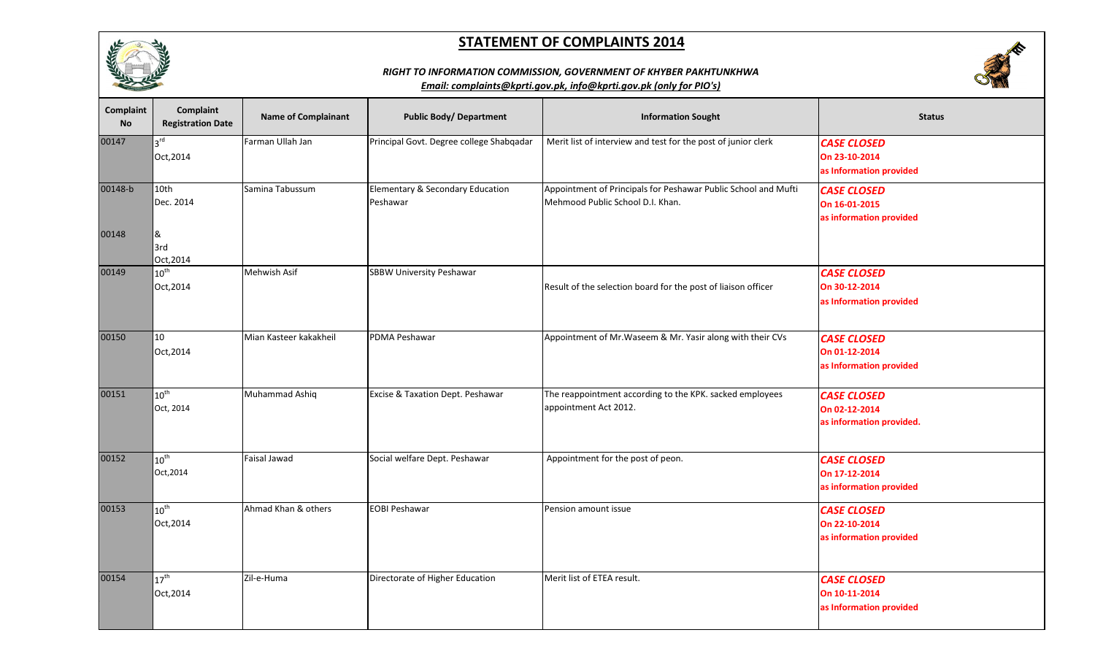

# **CONTRACTOR**

#### *RIGHT TO INFORMATION COMMISSION, GOVERNMENT OF KHYBER PAKHTUNKHWA*

| Complaint<br><b>No</b> | Complaint<br><b>Registration Date</b> | <b>Name of Complainant</b> | <b>Public Body/ Department</b>               | <b>Information Sought</b>                                                                          | <b>Status</b>                                                   |
|------------------------|---------------------------------------|----------------------------|----------------------------------------------|----------------------------------------------------------------------------------------------------|-----------------------------------------------------------------|
| 00147                  | 3 <sup>rd</sup><br>Oct, 2014          | Farman Ullah Jan           | Principal Govt. Degree college Shabqadar     | Merit list of interview and test for the post of junior clerk                                      | <b>CASE CLOSED</b><br>On 23-10-2014<br>as Information provided  |
| 00148-b                | 10th<br>Dec. 2014                     | Samina Tabussum            | Elementary & Secondary Education<br>Peshawar | Appointment of Principals for Peshawar Public School and Mufti<br>Mehmood Public School D.I. Khan. | <b>CASE CLOSED</b><br>On 16-01-2015<br>as information provided  |
| 00148                  | &<br>3rd<br>Oct, 2014                 |                            |                                              |                                                                                                    |                                                                 |
| 00149                  | $10^{\text{th}}$<br>Oct, 2014         | Mehwish Asif               | <b>SBBW University Peshawar</b>              | Result of the selection board for the post of liaison officer                                      | <b>CASE CLOSED</b><br>On 30-12-2014<br>as Information provided  |
| 00150                  | 10<br>Oct, 2014                       | Mian Kasteer kakakheil     | PDMA Peshawar                                | Appointment of Mr. Waseem & Mr. Yasir along with their CVs                                         | <b>CASE CLOSED</b><br>On 01-12-2014<br>as Information provided  |
| 00151                  | $10^{\text{th}}$<br>Oct, 2014         | Muhammad Ashiq             | Excise & Taxation Dept. Peshawar             | The reappointment according to the KPK. sacked employees<br>appointment Act 2012.                  | <b>CASE CLOSED</b><br>On 02-12-2014<br>as information provided. |
| 00152                  | $10^{\text{th}}$<br>Oct, 2014         | Faisal Jawad               | Social welfare Dept. Peshawar                | Appointment for the post of peon.                                                                  | <b>CASE CLOSED</b><br>On 17-12-2014<br>as information provided  |
| 00153                  | $10^{\text{th}}$<br>Oct, 2014         | Ahmad Khan & others        | <b>EOBI Peshawar</b>                         | Pension amount issue                                                                               | <b>CASE CLOSED</b><br>On 22-10-2014<br>as information provided  |
| 00154                  | $17^{\text{th}}$<br>Oct, 2014         | Zil-e-Huma                 | Directorate of Higher Education              | Merit list of ETEA result.                                                                         | <b>CASE CLOSED</b><br>On 10-11-2014<br>as Information provided  |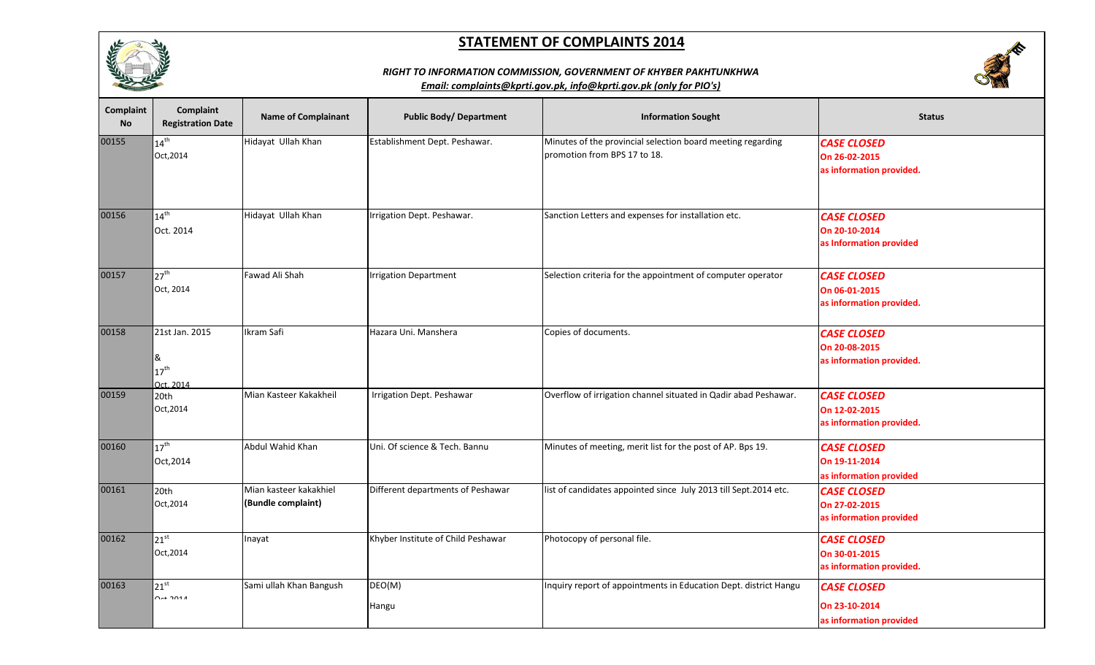



## *RIGHT TO INFORMATION COMMISSION, GOVERNMENT OF KHYBER PAKHTUNKHWA*

| Complaint<br><b>No</b> | Complaint<br><b>Registration Date</b>                | <b>Name of Complainant</b>                   | <b>Public Body/ Department</b>     | <b>Information Sought</b>                                                                   | <b>Status</b>                                                   |
|------------------------|------------------------------------------------------|----------------------------------------------|------------------------------------|---------------------------------------------------------------------------------------------|-----------------------------------------------------------------|
| 00155                  | $14^{\text{th}}$<br>Oct, 2014                        | Hidayat Ullah Khan                           | Establishment Dept. Peshawar.      | Minutes of the provincial selection board meeting regarding<br>promotion from BPS 17 to 18. | <b>CASE CLOSED</b><br>On 26-02-2015<br>as information provided. |
| 00156                  | $14^{th}$<br>Oct. 2014                               | Hidayat Ullah Khan                           | Irrigation Dept. Peshawar.         | Sanction Letters and expenses for installation etc.                                         | <b>CASE CLOSED</b><br>On 20-10-2014<br>as Information provided  |
| 00157                  | $27^{\text{th}}$<br>Oct, 2014                        | Fawad Ali Shah                               | <b>Irrigation Department</b>       | Selection criteria for the appointment of computer operator                                 | <b>CASE CLOSED</b><br>On 06-01-2015<br>as information provided. |
| 00158                  | 21st Jan. 2015<br>&<br>$17^{\text{th}}$<br>Oct. 2014 | Ikram Safi                                   | Hazara Uni. Manshera               | Copies of documents.                                                                        | <b>CASE CLOSED</b><br>On 20-08-2015<br>as information provided. |
| 00159                  | 20th<br>Oct, 2014                                    | Mian Kasteer Kakakheil                       | Irrigation Dept. Peshawar          | Overflow of irrigation channel situated in Qadir abad Peshawar.                             | <b>CASE CLOSED</b><br>On 12-02-2015<br>as information provided. |
| 00160                  | $17^{\text{th}}$<br>Oct, 2014                        | Abdul Wahid Khan                             | Uni. Of science & Tech. Bannu      | Minutes of meeting, merit list for the post of AP. Bps 19.                                  | <b>CASE CLOSED</b><br>On 19-11-2014<br>as information provided  |
| 00161                  | 20th<br>Oct, 2014                                    | Mian kasteer kakakhiel<br>(Bundle complaint) | Different departments of Peshawar  | list of candidates appointed since July 2013 till Sept.2014 etc.                            | <b>CASE CLOSED</b><br>On 27-02-2015<br>as information provided  |
| 00162                  | $21^{st}$<br>Oct, 2014                               | Inayat                                       | Khyber Institute of Child Peshawar | Photocopy of personal file.                                                                 | <b>CASE CLOSED</b><br>On 30-01-2015<br>as information provided. |
| 00163                  | $21^{st}$<br>$\sim$ $\sim$ $\sim$ $\sim$ $\sim$      | Sami ullah Khan Bangush                      | DEO(M)<br>Hangu                    | Inquiry report of appointments in Education Dept. district Hangu                            | <b>CASE CLOSED</b><br>On 23-10-2014<br>as information provided  |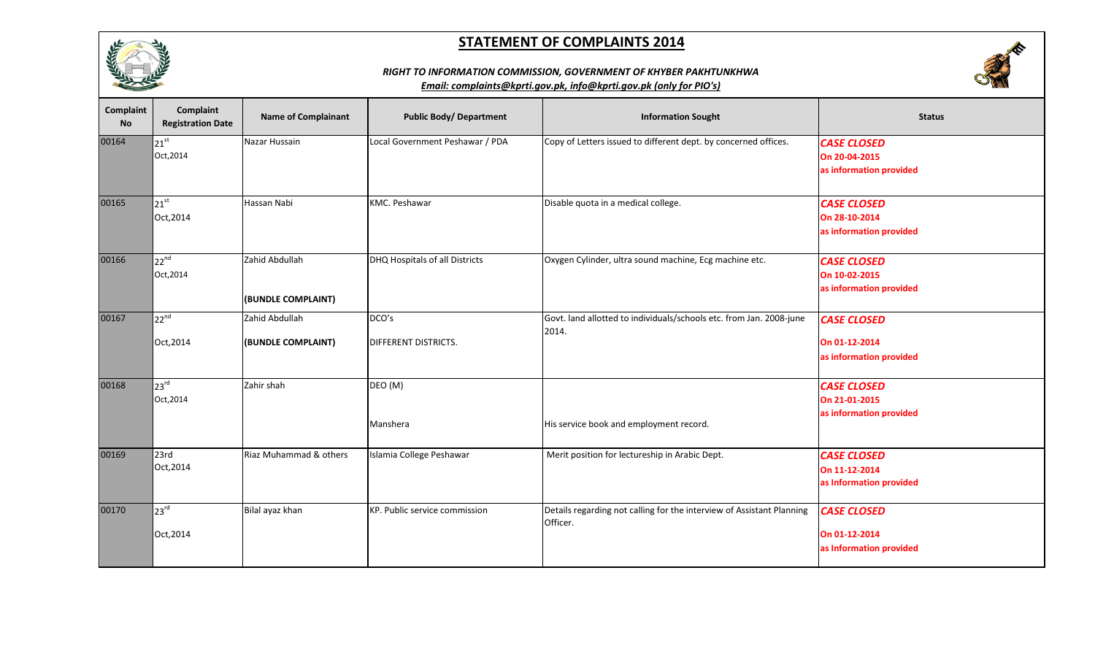



## *RIGHT TO INFORMATION COMMISSION, GOVERNMENT OF KHYBER PAKHTUNKHWA*

| Complaint<br><b>No</b> | Complaint<br><b>Registration Date</b>  | <b>Name of Complainant</b>           | <b>Public Body/ Department</b>       | <b>Information Sought</b>                                                         | <b>Status</b>                                                  |
|------------------------|----------------------------------------|--------------------------------------|--------------------------------------|-----------------------------------------------------------------------------------|----------------------------------------------------------------|
| 00164                  | $21^{st}$<br>Oct, 2014                 | Nazar Hussain                        | Local Government Peshawar / PDA      | Copy of Letters issued to different dept. by concerned offices.                   | <b>CASE CLOSED</b><br>On 20-04-2015<br>as information provided |
| 00165                  | 21 <sup>st</sup><br>Oct, 2014          | Hassan Nabi                          | <b>KMC. Peshawar</b>                 | Disable quota in a medical college.                                               | <b>CASE CLOSED</b><br>On 28-10-2014<br>as information provided |
| 00166                  | $22^{nd}$<br>Oct, 2014                 | Zahid Abdullah<br>(BUNDLE COMPLAINT) | DHQ Hospitals of all Districts       | Oxygen Cylinder, ultra sound machine, Ecg machine etc.                            | <b>CASE CLOSED</b><br>On 10-02-2015<br>as information provided |
| 00167                  | $\sqrt{22^{nd}}$<br>Oct, 2014          | Zahid Abdullah<br>(BUNDLE COMPLAINT) | DCO's<br><b>DIFFERENT DISTRICTS.</b> | Govt. land allotted to individuals/schools etc. from Jan. 2008-june<br>2014.      | <b>CASE CLOSED</b><br>On 01-12-2014<br>as information provided |
| 00168                  | $\sqrt{23}$ <sup>rd</sup><br>Oct, 2014 | Zahir shah                           | DEO (M)<br>Manshera                  | His service book and employment record.                                           | <b>CASE CLOSED</b><br>On 21-01-2015<br>as information provided |
| 00169                  | 23rd<br>Oct, 2014                      | Riaz Muhammad & others               | Islamia College Peshawar             | Merit position for lectureship in Arabic Dept.                                    | <b>CASE CLOSED</b><br>On 11-12-2014<br>as Information provided |
| 00170                  | 23 <sup>rd</sup><br>Oct, 2014          | Bilal ayaz khan                      | KP. Public service commission        | Details regarding not calling for the interview of Assistant Planning<br>Officer. | <b>CASE CLOSED</b><br>On 01-12-2014<br>as Information provided |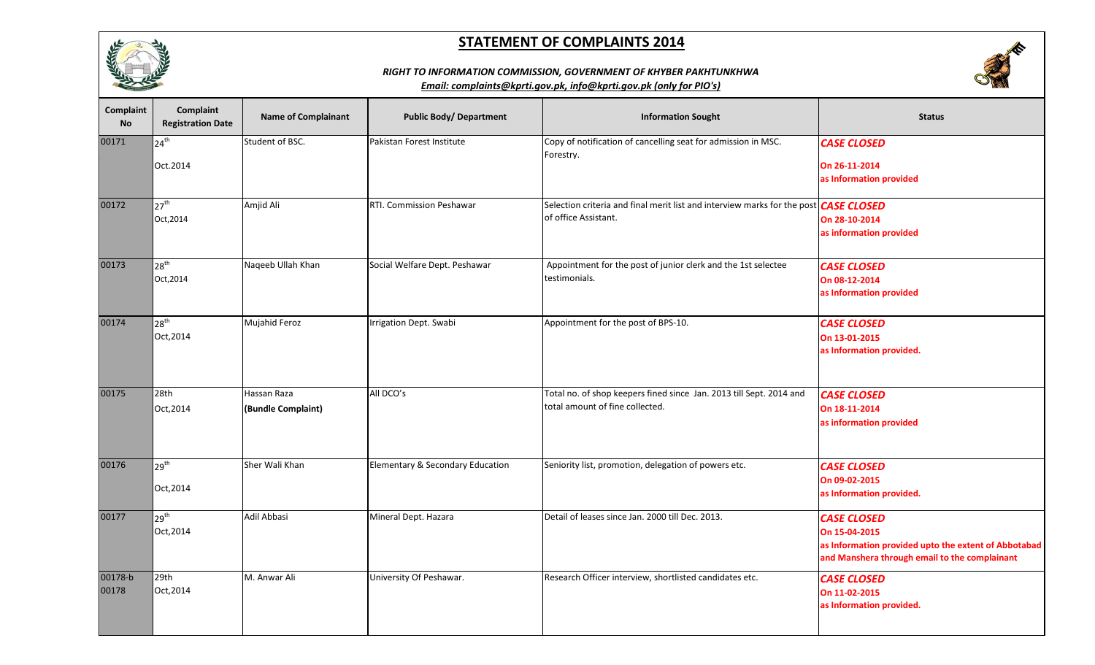



#### *RIGHT TO INFORMATION COMMISSION, GOVERNMENT OF KHYBER PAKHTUNKHWA*

| Complaint<br><b>No</b> | Complaint<br><b>Registration Date</b>  | <b>Name of Complainant</b>        | <b>Public Body/ Department</b>   | <b>Information Sought</b>                                                                                           | <b>Status</b>                                                                                                                                |
|------------------------|----------------------------------------|-----------------------------------|----------------------------------|---------------------------------------------------------------------------------------------------------------------|----------------------------------------------------------------------------------------------------------------------------------------------|
| 00171                  | 24 <sup>th</sup><br>Oct.2014           | Student of BSC.                   | Pakistan Forest Institute        | Copy of notification of cancelling seat for admission in MSC.<br>Forestry.                                          | <b>CASE CLOSED</b><br>On 26-11-2014<br>as Information provided                                                                               |
| 00172                  | $\sqrt{27}$ <sup>th</sup><br>Oct, 2014 | Amjid Ali                         | RTI. Commission Peshawar         | Selection criteria and final merit list and interview marks for the post <b>CASE CLOSED</b><br>of office Assistant. | On 28-10-2014<br>as information provided                                                                                                     |
| 00173                  | 28 <sup>th</sup><br>Oct, 2014          | Naqeeb Ullah Khan                 | Social Welfare Dept. Peshawar    | Appointment for the post of junior clerk and the 1st selectee<br>testimonials.                                      | <b>CASE CLOSED</b><br>On 08-12-2014<br>as Information provided                                                                               |
| 00174                  | 28 <sup>th</sup><br>Oct, 2014          | Mujahid Feroz                     | Irrigation Dept. Swabi           | Appointment for the post of BPS-10.                                                                                 | <b>CASE CLOSED</b><br>On 13-01-2015<br>as Information provided.                                                                              |
| 00175                  | 28th<br>Oct, 2014                      | Hassan Raza<br>(Bundle Complaint) | All DCO's                        | Total no. of shop keepers fined since Jan. 2013 till Sept. 2014 and<br>total amount of fine collected.              | <b>CASE CLOSED</b><br>On 18-11-2014<br>as information provided                                                                               |
| 00176                  | 29 <sup>th</sup><br>Oct, 2014          | Sher Wali Khan                    | Elementary & Secondary Education | Seniority list, promotion, delegation of powers etc.                                                                | <b>CASE CLOSED</b><br>On 09-02-2015<br>as Information provided.                                                                              |
| 00177                  | $29^{th}$<br>Oct, 2014                 | Adil Abbasi                       | Mineral Dept. Hazara             | Detail of leases since Jan. 2000 till Dec. 2013.                                                                    | <b>CASE CLOSED</b><br>On 15-04-2015<br>as Information provided upto the extent of Abbotabad<br>and Manshera through email to the complainant |
| 00178-b<br>00178       | 29th<br>Oct, 2014                      | M. Anwar Ali                      | University Of Peshawar.          | Research Officer interview, shortlisted candidates etc.                                                             | <b>CASE CLOSED</b><br>On 11-02-2015<br>as Information provided.                                                                              |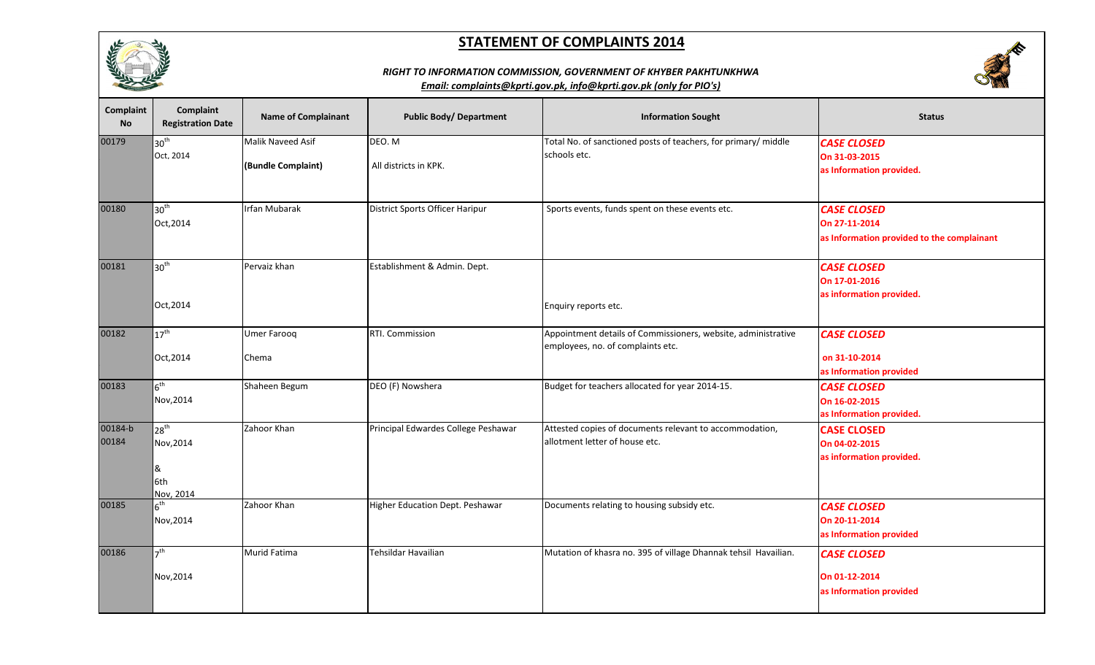





| <b>Complaint</b><br><b>No</b> | Complaint<br><b>Registration Date</b>           | <b>Name of Complainant</b>              | <b>Public Body/ Department</b>      | <b>Information Sought</b>                                                                          | <b>Status</b>                                                                     |
|-------------------------------|-------------------------------------------------|-----------------------------------------|-------------------------------------|----------------------------------------------------------------------------------------------------|-----------------------------------------------------------------------------------|
| 00179                         | 30 <sup>th</sup><br>Oct. 2014                   | Malik Naveed Asif<br>(Bundle Complaint) | DEO. M<br>All districts in KPK.     | Total No. of sanctioned posts of teachers, for primary/ middle<br>schools etc.                     | <b>CASE CLOSED</b><br>On 31-03-2015<br>as Information provided.                   |
| 00180                         | 30 <sup>th</sup><br>Oct, 2014                   | <b>Irfan Mubarak</b>                    | District Sports Officer Haripur     | Sports events, funds spent on these events etc.                                                    | <b>CASE CLOSED</b><br>On 27-11-2014<br>as Information provided to the complainant |
| 00181                         | 30 <sup>th</sup><br>Oct, 2014                   | Pervaiz khan                            | Establishment & Admin. Dept.        | Enquiry reports etc.                                                                               | <b>CASE CLOSED</b><br>On 17-01-2016<br>as information provided.                   |
| 00182                         | $17^{\text{th}}$<br>Oct, 2014                   | <b>Umer Farooq</b><br>Chema             | RTI. Commission                     | Appointment details of Commissioners, website, administrative<br>employees, no. of complaints etc. | <b>CASE CLOSED</b><br>on 31-10-2014<br>as Information provided                    |
| 00183                         | 6 <sup>th</sup><br>Nov, 2014                    | Shaheen Begum                           | DEO (F) Nowshera                    | Budget for teachers allocated for year 2014-15.                                                    | <b>CASE CLOSED</b><br>On 16-02-2015<br>as Information provided.                   |
| 00184-b<br>00184              | $28^{th}$<br>Nov, 2014<br>&<br>6th<br>Nov, 2014 | Zahoor Khan                             | Principal Edwardes College Peshawar | Attested copies of documents relevant to accommodation,<br>allotment letter of house etc.          | <b>CASE CLOSED</b><br>On 04-02-2015<br>as information provided.                   |
| 00185                         | $6^{\text{th}}$<br>Nov, 2014                    | Zahoor Khan                             | Higher Education Dept. Peshawar     | Documents relating to housing subsidy etc.                                                         | <b>CASE CLOSED</b><br>On 20-11-2014<br>as Information provided                    |
| 00186                         | 7 <sup>th</sup><br>Nov, 2014                    | Murid Fatima                            | Tehsildar Havailian                 | Mutation of khasra no. 395 of village Dhannak tehsil Havailian.                                    | <b>CASE CLOSED</b><br>On 01-12-2014<br>as Information provided                    |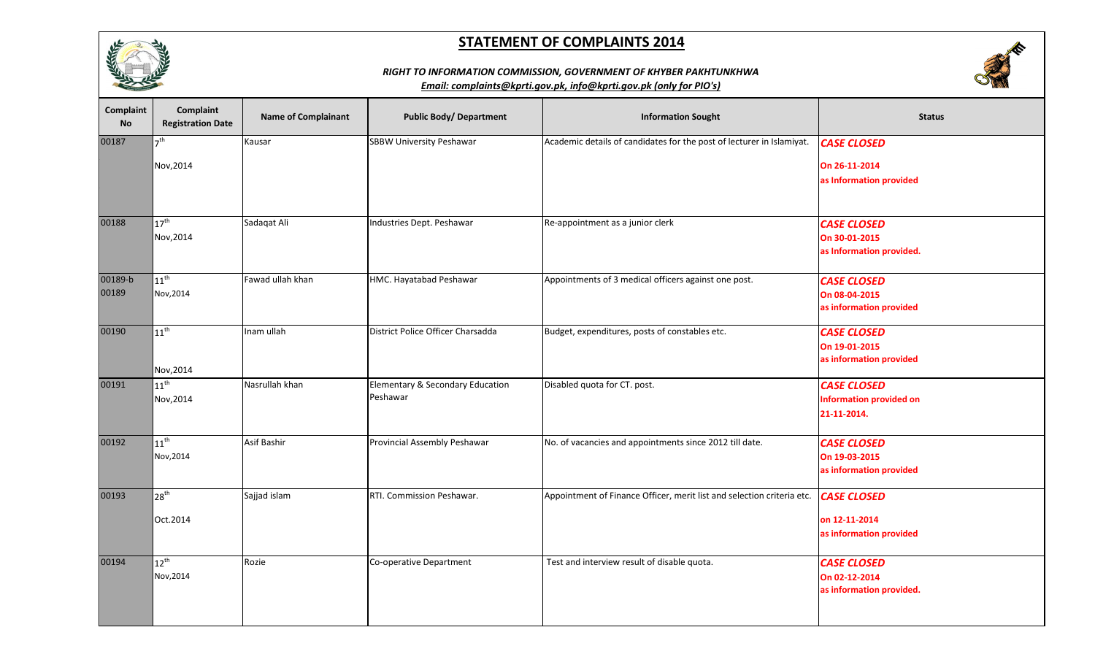



## *RIGHT TO INFORMATION COMMISSION, GOVERNMENT OF KHYBER PAKHTUNKHWA*

| Complaint<br><b>No</b> | Complaint<br><b>Registration Date</b> | <b>Name of Complainant</b> | <b>Public Body/ Department</b>               | <b>Information Sought</b>                                              | <b>Status</b>                                                       |
|------------------------|---------------------------------------|----------------------------|----------------------------------------------|------------------------------------------------------------------------|---------------------------------------------------------------------|
| 00187                  | 7 <sup>th</sup><br>Nov, 2014          | Kausar                     | <b>SBBW University Peshawar</b>              | Academic details of candidates for the post of lecturer in Islamiyat.  | <b>CASE CLOSED</b><br>On 26-11-2014<br>as Information provided      |
| 00188                  | $17^{\text{th}}$<br>Nov, 2014         | Sadaqat Ali                | Industries Dept. Peshawar                    | Re-appointment as a junior clerk                                       | <b>CASE CLOSED</b><br>On 30-01-2015<br>as Information provided.     |
| 00189-b<br>00189       | $11^{\text{th}}$<br>Nov, 2014         | Fawad ullah khan           | HMC. Hayatabad Peshawar                      | Appointments of 3 medical officers against one post.                   | <b>CASE CLOSED</b><br>On 08-04-2015<br>as information provided      |
| 00190                  | $11^{\text{th}}$<br>Nov, 2014         | Inam ullah                 | District Police Officer Charsadda            | Budget, expenditures, posts of constables etc.                         | <b>CASE CLOSED</b><br>On 19-01-2015<br>as information provided      |
| 00191                  | $11^{\text{th}}$<br>Nov, 2014         | Nasrullah khan             | Elementary & Secondary Education<br>Peshawar | Disabled quota for CT. post.                                           | <b>CASE CLOSED</b><br><b>Information provided on</b><br>21-11-2014. |
| 00192                  | $11^{\sf th}$<br>Nov, 2014            | <b>Asif Bashir</b>         | Provincial Assembly Peshawar                 | No. of vacancies and appointments since 2012 till date.                | <b>CASE CLOSED</b><br>On 19-03-2015<br>as information provided      |
| 00193                  | $28^{\text{th}}$<br>Oct.2014          | Sajjad islam               | RTI. Commission Peshawar.                    | Appointment of Finance Officer, merit list and selection criteria etc. | <b>CASE CLOSED</b><br>on 12-11-2014<br>as information provided      |
| 00194                  | $12^{\text{th}}$<br>Nov, 2014         | Rozie                      | Co-operative Department                      | Test and interview result of disable quota.                            | <b>CASE CLOSED</b><br>On 02-12-2014<br>as information provided.     |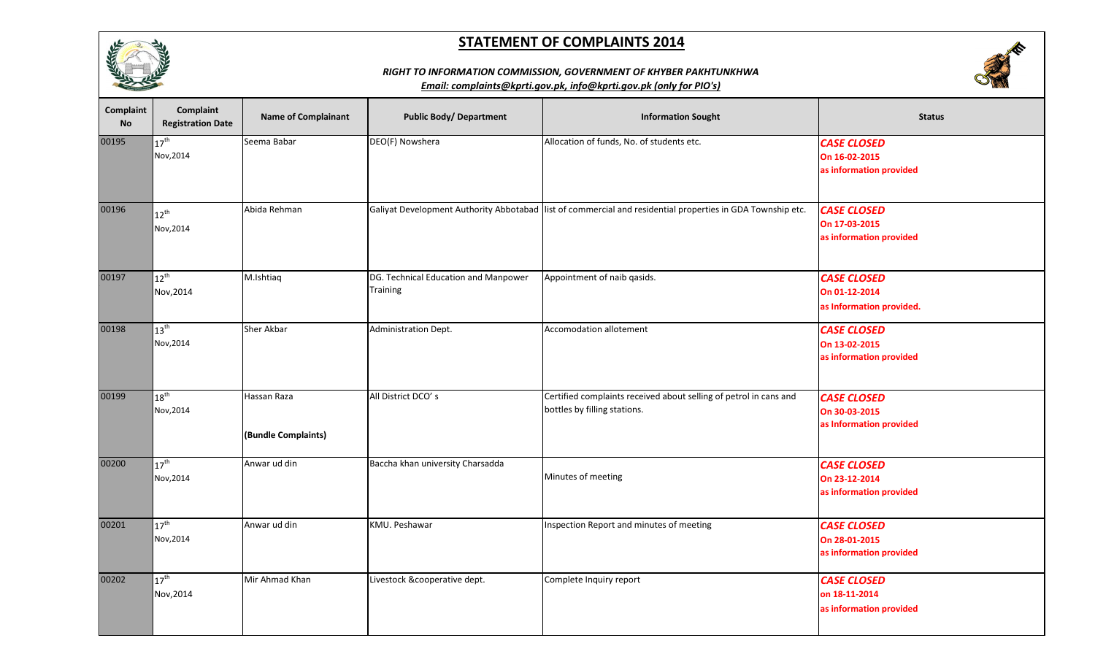



### *RIGHT TO INFORMATION COMMISSION, GOVERNMENT OF KHYBER PAKHTUNKHWA*

| Complaint<br><b>No</b> | <b>Complaint</b><br><b>Registration Date</b> | <b>Name of Complainant</b>         | <b>Public Body/ Department</b>                          | <b>Information Sought</b>                                                                                  | <b>Status</b>                                                   |
|------------------------|----------------------------------------------|------------------------------------|---------------------------------------------------------|------------------------------------------------------------------------------------------------------------|-----------------------------------------------------------------|
| 00195                  | $17^{\text{th}}$<br>Nov, 2014                | Seema Babar                        | DEO(F) Nowshera                                         | Allocation of funds, No. of students etc.                                                                  | <b>CASE CLOSED</b><br>On 16-02-2015<br>as information provided  |
| 00196                  | $12^{\text{th}}$<br>Nov, 2014                | Abida Rehman                       |                                                         | Galiyat Development Authority Abbotabad list of commercial and residential properties in GDA Township etc. | <b>CASE CLOSED</b><br>On 17-03-2015<br>as information provided  |
| 00197                  | $12^{\text{th}}$<br>Nov, 2014                | M.Ishtiaq                          | DG. Technical Education and Manpower<br><b>Training</b> | Appointment of naib qasids.                                                                                | <b>CASE CLOSED</b><br>On 01-12-2014<br>as Information provided. |
| 00198                  | $13^{th}$<br>Nov, 2014                       | <b>Sher Akbar</b>                  | Administration Dept.                                    | <b>Accomodation allotement</b>                                                                             | <b>CASE CLOSED</b><br>On 13-02-2015<br>as information provided  |
| 00199                  | $18^{\sf th}$<br>Nov, 2014                   | Hassan Raza<br>(Bundle Complaints) | All District DCO's                                      | Certified complaints received about selling of petrol in cans and<br>bottles by filling stations.          | <b>CASE CLOSED</b><br>On 30-03-2015<br>as Information provided  |
| 00200                  | $17^{\text{th}}$<br>Nov, 2014                | Anwar ud din                       | Baccha khan university Charsadda                        | Minutes of meeting                                                                                         | <b>CASE CLOSED</b><br>On 23-12-2014<br>as information provided  |
| 00201                  | $17^{\text{th}}$<br>Nov, 2014                | Anwar ud din                       | KMU. Peshawar                                           | Inspection Report and minutes of meeting                                                                   | <b>CASE CLOSED</b><br>On 28-01-2015<br>as information provided  |
| 00202                  | $17^{\text{th}}$<br>Nov, 2014                | Mir Ahmad Khan                     | Livestock &cooperative dept.                            | Complete Inquiry report                                                                                    | <b>CASE CLOSED</b><br>on 18-11-2014<br>as information provided  |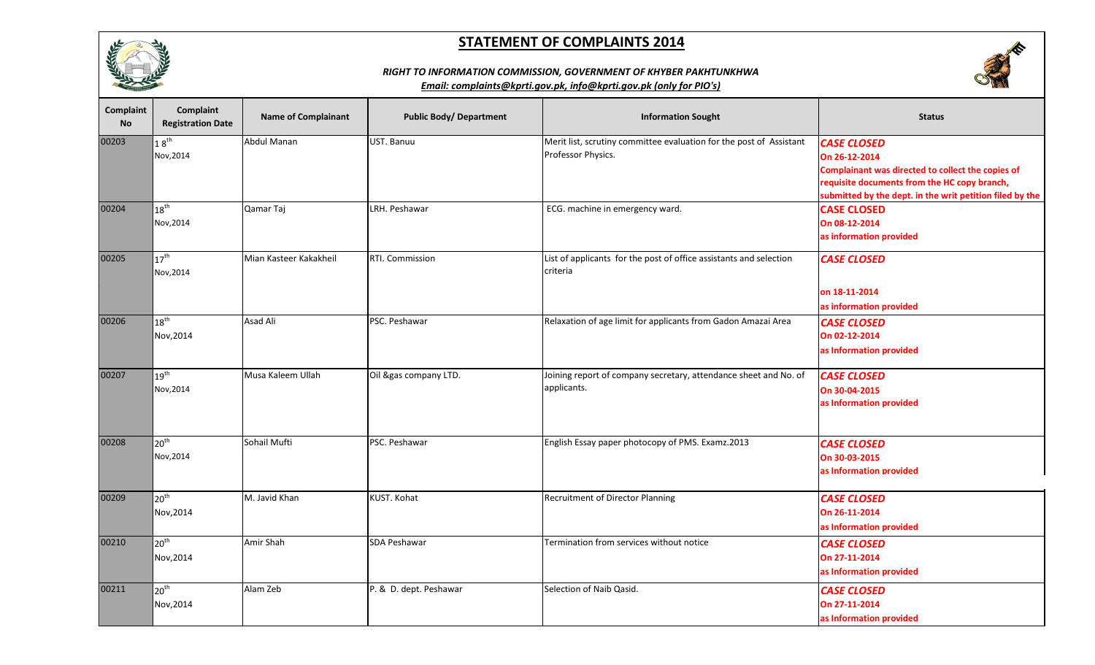



## *RIGHT TO INFORMATION COMMISSION, GOVERNMENT OF KHYBER PAKHTUNKHWA*

| <b>Complaint</b><br><b>No</b> | Complaint<br><b>Registration Date</b> | <b>Name of Complainant</b> | <b>Public Body/ Department</b> | <b>Information Sought</b>                                                                 | <b>Status</b>                                                                                                                                                                                        |
|-------------------------------|---------------------------------------|----------------------------|--------------------------------|-------------------------------------------------------------------------------------------|------------------------------------------------------------------------------------------------------------------------------------------------------------------------------------------------------|
| 00203                         | $18^{\text{th}}$<br>Nov, 2014         | <b>Abdul Manan</b>         | UST. Banuu                     | Merit list, scrutiny committee evaluation for the post of Assistant<br>Professor Physics. | <b>CASE CLOSED</b><br>On 26-12-2014<br>Complainant was directed to collect the copies of<br>requisite documents from the HC copy branch,<br>submitted by the dept. in the writ petition filed by the |
| 00204                         | $18^{\text{th}}$<br>Nov, 2014         | Qamar Taj                  | LRH. Peshawar                  | ECG. machine in emergency ward.                                                           | <b>CASE CLOSED</b><br>On 08-12-2014<br>as information provided                                                                                                                                       |
| 00205                         | $17^{\text{th}}$<br>Nov, 2014         | Mian Kasteer Kakakheil     | RTI. Commission                | List of applicants for the post of office assistants and selection<br>criteria            | <b>CASE CLOSED</b><br>on 18-11-2014<br>as information provided                                                                                                                                       |
| 00206                         | $18^{\sf th}$<br>Nov, 2014            | Asad Ali                   | PSC. Peshawar                  | Relaxation of age limit for applicants from Gadon Amazai Area                             | <b>CASE CLOSED</b><br>On 02-12-2014<br>as Information provided                                                                                                                                       |
| 00207                         | $19^{\text{th}}$<br>Nov, 2014         | Musa Kaleem Ullah          | Oil &gas company LTD.          | Joining report of company secretary, attendance sheet and No. of<br>applicants.           | <b>CASE CLOSED</b><br>On 30-04-2015<br>as Information provided                                                                                                                                       |
| 00208                         | 20 <sup>th</sup><br>Nov, 2014         | Sohail Mufti               | PSC. Peshawar                  | English Essay paper photocopy of PMS. Examz.2013                                          | <b>CASE CLOSED</b><br>On 30-03-2015<br>as Information provided                                                                                                                                       |
| 00209                         | 20 <sup>th</sup><br>Nov, 2014         | M. Javid Khan              | KUST. Kohat                    | Recruitment of Director Planning                                                          | <b>CASE CLOSED</b><br>On 26-11-2014<br>as Information provided                                                                                                                                       |
| 00210                         | 20 <sup>th</sup><br>Nov, 2014         | Amir Shah                  | <b>SDA Peshawar</b>            | Termination from services without notice                                                  | <b>CASE CLOSED</b><br>On 27-11-2014<br>as Information provided                                                                                                                                       |
| 00211                         | 20 <sup>th</sup><br>Nov, 2014         | Alam Zeb                   | P. & D. dept. Peshawar         | Selection of Naib Qasid.                                                                  | <b>CASE CLOSED</b><br>On 27-11-2014<br>as Information provided                                                                                                                                       |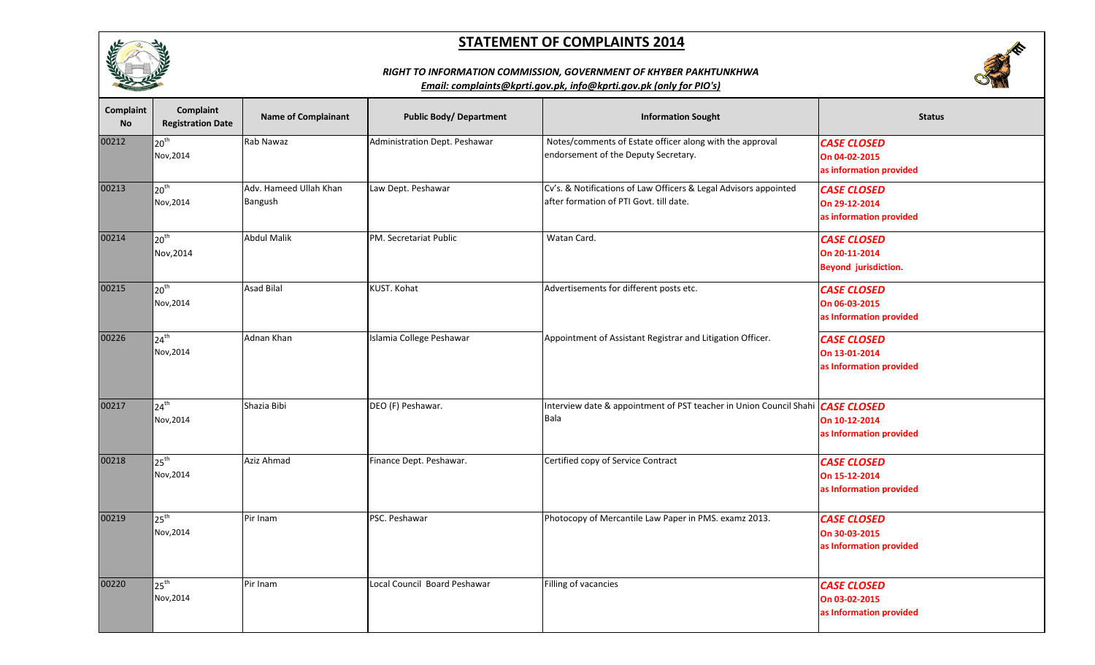

### *RIGHT TO INFORMATION COMMISSION, GOVERNMENT OF KHYBER PAKHTUNKHWA*



| Complaint<br><b>No</b> | <b>Complaint</b><br><b>Registration Date</b> | <b>Name of Complainant</b>        | <b>Public Body/ Department</b> | <b>Information Sought</b>                                                                                   | <b>Status</b>                                                      |
|------------------------|----------------------------------------------|-----------------------------------|--------------------------------|-------------------------------------------------------------------------------------------------------------|--------------------------------------------------------------------|
| 00212                  | 20 <sup>th</sup><br>Nov, 2014                | Rab Nawaz                         | Administration Dept. Peshawar  | Notes/comments of Estate officer along with the approval<br>endorsement of the Deputy Secretary.            | <b>CASE CLOSED</b><br>On 04-02-2015<br>as information provided     |
| 00213                  | 20 <sup>th</sup><br>Nov, 2014                | Adv. Hameed Ullah Khan<br>Bangush | Law Dept. Peshawar             | Cv's. & Notifications of Law Officers & Legal Advisors appointed<br>after formation of PTI Govt. till date. | <b>CASE CLOSED</b><br>On 29-12-2014<br>as information provided     |
| 00214                  | 20 <sup>th</sup><br>Nov, 2014                | <b>Abdul Malik</b>                | PM. Secretariat Public         | Watan Card.                                                                                                 | <b>CASE CLOSED</b><br>On 20-11-2014<br><b>Beyond jurisdiction.</b> |
| 00215                  | 20 <sup>th</sup><br>Nov, 2014                | <b>Asad Bilal</b>                 | KUST. Kohat                    | Advertisements for different posts etc.                                                                     | <b>CASE CLOSED</b><br>On 06-03-2015<br>as Information provided     |
| 00226                  | $24^{\text{th}}$<br>Nov, 2014                | Adnan Khan                        | Islamia College Peshawar       | Appointment of Assistant Registrar and Litigation Officer.                                                  | <b>CASE CLOSED</b><br>On 13-01-2014<br>as Information provided     |
| 00217                  | $\sqrt{24}$ <sup>th</sup><br>Nov, 2014       | Shazia Bibi                       | DEO (F) Peshawar.              | Interview date & appointment of PST teacher in Union Council Shahi <i>CASE CLOSED</i><br>Bala               | On 10-12-2014<br>as Information provided                           |
| 00218                  | $25^{\text{th}}$<br>Nov, 2014                | Aziz Ahmad                        | Finance Dept. Peshawar.        | Certified copy of Service Contract                                                                          | <b>CASE CLOSED</b><br>On 15-12-2014<br>as Information provided     |
| 00219                  | $\sqrt{25}$ <sup>th</sup><br>Nov, 2014       | Pir Inam                          | PSC. Peshawar                  | Photocopy of Mercantile Law Paper in PMS. examz 2013.                                                       | <b>CASE CLOSED</b><br>On 30-03-2015<br>as Information provided     |
| 00220                  | 25 <sup>th</sup><br>Nov, 2014                | Pir Inam                          | Local Council Board Peshawar   | Filling of vacancies                                                                                        | <b>CASE CLOSED</b><br>On 03-02-2015<br>as Information provided     |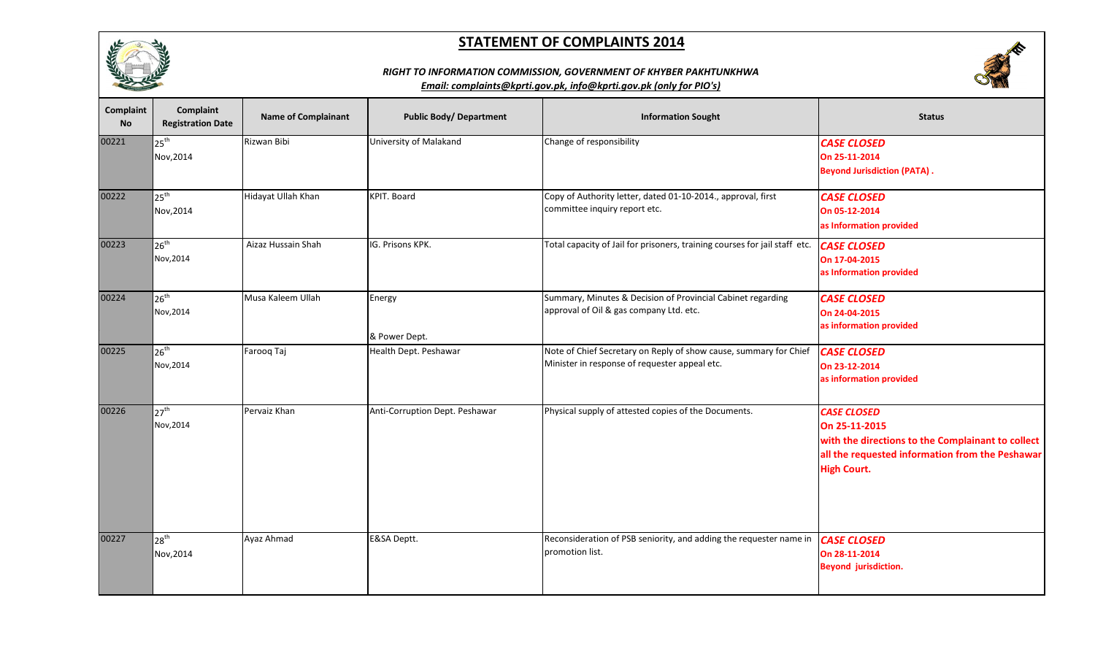



## *RIGHT TO INFORMATION COMMISSION, GOVERNMENT OF KHYBER PAKHTUNKHWA*

| Complaint<br><b>No</b> | Complaint<br><b>Registration Date</b> | <b>Name of Complainant</b> | <b>Public Body/ Department</b> | <b>Information Sought</b>                                                                                          | <b>Status</b>                                                                                                                                                     |
|------------------------|---------------------------------------|----------------------------|--------------------------------|--------------------------------------------------------------------------------------------------------------------|-------------------------------------------------------------------------------------------------------------------------------------------------------------------|
| 00221                  | $25^{\text{th}}$<br>Nov, 2014         | Rizwan Bibi                | University of Malakand         | Change of responsibility                                                                                           | <b>CASE CLOSED</b><br>On 25-11-2014<br><b>Beyond Jurisdiction (PATA).</b>                                                                                         |
| 00222                  | $25^{th}$<br>Nov, 2014                | Hidayat Ullah Khan         | <b>KPIT. Board</b>             | Copy of Authority letter, dated 01-10-2014., approval, first<br>committee inquiry report etc.                      | <b>CASE CLOSED</b><br>On 05-12-2014<br>as Information provided                                                                                                    |
| 00223                  | $26^{th}$<br>Nov, 2014                | Aizaz Hussain Shah         | IG. Prisons KPK.               | Total capacity of Jail for prisoners, training courses for jail staff etc.                                         | <b>CASE CLOSED</b><br>On 17-04-2015<br>as Information provided                                                                                                    |
| 00224                  | $26^{th}$<br>Nov, 2014                | Musa Kaleem Ullah          | Energy<br>& Power Dept.        | Summary, Minutes & Decision of Provincial Cabinet regarding<br>approval of Oil & gas company Ltd. etc.             | <b>CASE CLOSED</b><br>On 24-04-2015<br>as information provided                                                                                                    |
| 00225                  | $26^{th}$<br>Nov, 2014                | Farooq Taj                 | Health Dept. Peshawar          | Note of Chief Secretary on Reply of show cause, summary for Chief<br>Minister in response of requester appeal etc. | <b>CASE CLOSED</b><br>On 23-12-2014<br>as information provided                                                                                                    |
| 00226                  | $27^{\text{th}}$<br>Nov, 2014         | Pervaiz Khan               | Anti-Corruption Dept. Peshawar | Physical supply of attested copies of the Documents.                                                               | <b>CASE CLOSED</b><br>On 25-11-2015<br>with the directions to the Complainant to collect<br>all the requested information from the Peshawar<br><b>High Court.</b> |
| 00227                  | $28^{th}$<br>Nov, 2014                | Ayaz Ahmad                 | E&SA Deptt.                    | Reconsideration of PSB seniority, and adding the requester name in   CASE CLOSED<br>promotion list.                | On 28-11-2014<br><b>Beyond jurisdiction.</b>                                                                                                                      |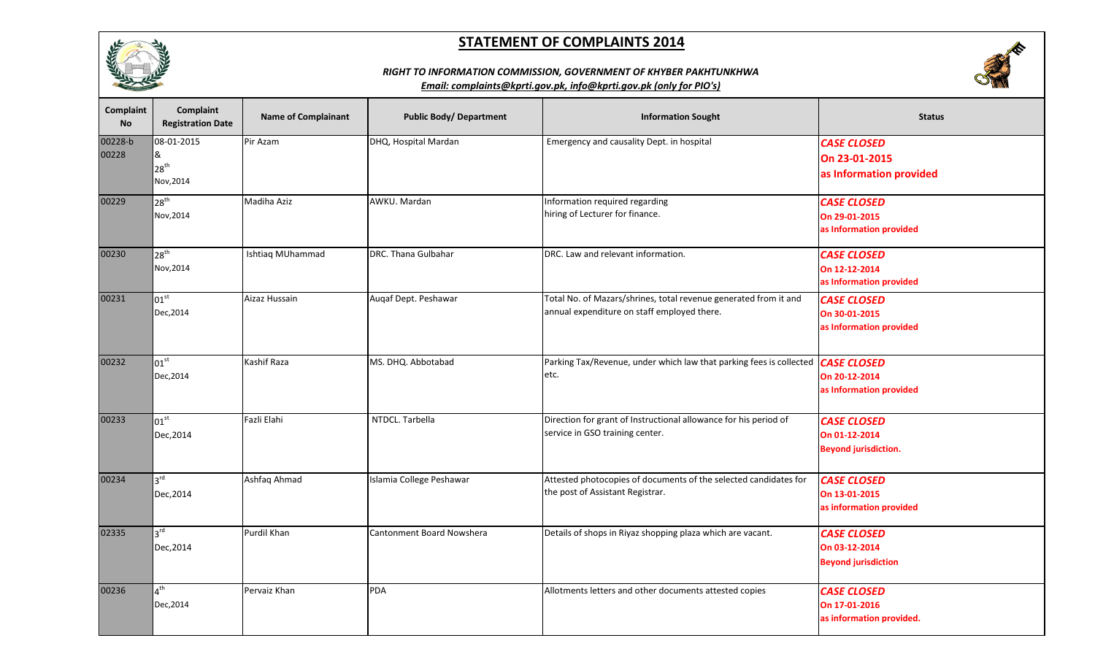





| Complaint<br><b>No</b> | <b>Complaint</b><br><b>Registration Date</b>     | <b>Name of Complainant</b> | <b>Public Body/ Department</b> | <b>Information Sought</b>                                                                                       | <b>Status</b>                                                      |
|------------------------|--------------------------------------------------|----------------------------|--------------------------------|-----------------------------------------------------------------------------------------------------------------|--------------------------------------------------------------------|
| 00228-b<br>00228       | 08-01-2015<br>&<br>$28^{\text{th}}$<br>Nov, 2014 | Pir Azam                   | DHQ, Hospital Mardan           | Emergency and causality Dept. in hospital                                                                       | <b>CASE CLOSED</b><br>On 23-01-2015<br>as Information provided     |
| 00229                  | $28^{th}$<br>Nov, 2014                           | <b>Madiha Aziz</b>         | AWKU. Mardan                   | Information required regarding<br>hiring of Lecturer for finance.                                               | <b>CASE CLOSED</b><br>On 29-01-2015<br>as Information provided     |
| 00230                  | $28^{th}$<br>Nov, 2014                           | Ishtiaq MUhammad           | DRC. Thana Gulbahar            | DRC. Law and relevant information.                                                                              | <b>CASE CLOSED</b><br>On 12-12-2014<br>as Information provided     |
| 00231                  | $101^{\text{st}}$<br>Dec, 2014                   | Aizaz Hussain              | Augaf Dept. Peshawar           | Total No. of Mazars/shrines, total revenue generated from it and<br>annual expenditure on staff employed there. | <b>CASE CLOSED</b><br>On 30-01-2015<br>as Information provided     |
| 00232                  | $101^{\rm st}$<br>Dec, 2014                      | Kashif Raza                | MS. DHQ. Abbotabad             | Parking Tax/Revenue, under which law that parking fees is collected   CASE CLOSED<br>etc.                       | On 20-12-2014<br>as Information provided                           |
| 00233                  | $101^{\text{st}}$<br>Dec, 2014                   | Fazli Elahi                | NTDCL. Tarbella                | Direction for grant of Instructional allowance for his period of<br>service in GSO training center.             | <b>CASE CLOSED</b><br>On 01-12-2014<br><b>Beyond jurisdiction.</b> |
| 00234                  | $3^{rd}$<br>Dec, 2014                            | Ashfaq Ahmad               | Islamia College Peshawar       | Attested photocopies of documents of the selected candidates for<br>the post of Assistant Registrar.            | <b>CASE CLOSED</b><br>On 13-01-2015<br>as information provided     |
| 02335                  | $3^{rd}$<br>Dec, 2014                            | Purdil Khan                | Cantonment Board Nowshera      | Details of shops in Riyaz shopping plaza which are vacant.                                                      | <b>CASE CLOSED</b><br>On 03-12-2014<br><b>Beyond jurisdiction</b>  |
| 00236                  | 4 <sup>th</sup><br>Dec, 2014                     | Pervaiz Khan               | <b>PDA</b>                     | Allotments letters and other documents attested copies                                                          | <b>CASE CLOSED</b><br>On 17-01-2016<br>as information provided.    |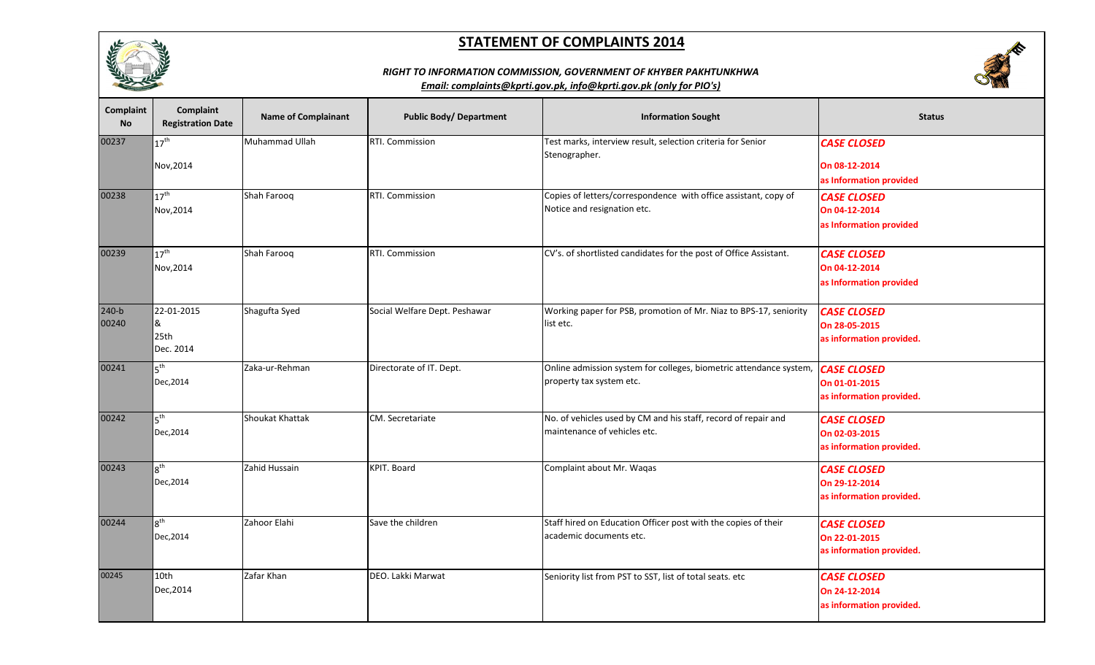





| <b>Complaint</b><br>No | Complaint<br><b>Registration Date</b> | <b>Name of Complainant</b> | <b>Public Body/ Department</b> | <b>Information Sought</b>                                                                                  | <b>Status</b>                                                   |
|------------------------|---------------------------------------|----------------------------|--------------------------------|------------------------------------------------------------------------------------------------------------|-----------------------------------------------------------------|
| 00237                  | $17^{\text{th}}$<br>Nov, 2014         | Muhammad Ullah             | RTI. Commission                | Test marks, interview result, selection criteria for Senior<br>Stenographer.                               | <b>CASE CLOSED</b><br>On 08-12-2014<br>as Information provided  |
| 00238                  | $17^{\text{th}}$<br>Nov, 2014         | Shah Farooq                | RTI. Commission                | Copies of letters/correspondence with office assistant, copy of<br>Notice and resignation etc.             | <b>CASE CLOSED</b><br>On 04-12-2014<br>as Information provided  |
| 00239                  | $17^{\text{th}}$<br>Nov, 2014         | Shah Farooq                | RTI. Commission                | CV's. of shortlisted candidates for the post of Office Assistant.                                          | <b>CASE CLOSED</b><br>On 04-12-2014<br>as Information provided  |
| $240-b$<br>00240       | 22-01-2015<br>&<br>25th<br>Dec. 2014  | Shagufta Syed              | Social Welfare Dept. Peshawar  | Working paper for PSB, promotion of Mr. Niaz to BPS-17, seniority<br>list etc.                             | <b>CASE CLOSED</b><br>On 28-05-2015<br>as information provided. |
| 00241                  | 5 <sup>th</sup><br>Dec, 2014          | Zaka-ur-Rehman             | Directorate of IT. Dept.       | Online admission system for colleges, biometric attendance system, CASE CLOSED<br>property tax system etc. | On 01-01-2015<br>as information provided.                       |
| 00242                  | 5 <sup>th</sup><br>Dec, 2014          | Shoukat Khattak            | CM. Secretariate               | No. of vehicles used by CM and his staff, record of repair and<br>maintenance of vehicles etc.             | <b>CASE CLOSED</b><br>On 02-03-2015<br>as information provided. |
| 00243                  | 8 <sup>th</sup><br>Dec, 2014          | Zahid Hussain              | KPIT. Board                    | Complaint about Mr. Waqas                                                                                  | <b>CASE CLOSED</b><br>On 29-12-2014<br>as information provided. |
| 00244                  | $8^{\text{th}}$<br>Dec, 2014          | Zahoor Elahi               | Save the children              | Staff hired on Education Officer post with the copies of their<br>academic documents etc.                  | <b>CASE CLOSED</b><br>On 22-01-2015<br>as information provided. |
| 00245                  | 10th<br>Dec, 2014                     | Zafar Khan                 | DEO. Lakki Marwat              | Seniority list from PST to SST, list of total seats. etc                                                   | <b>CASE CLOSED</b><br>On 24-12-2014<br>as information provided. |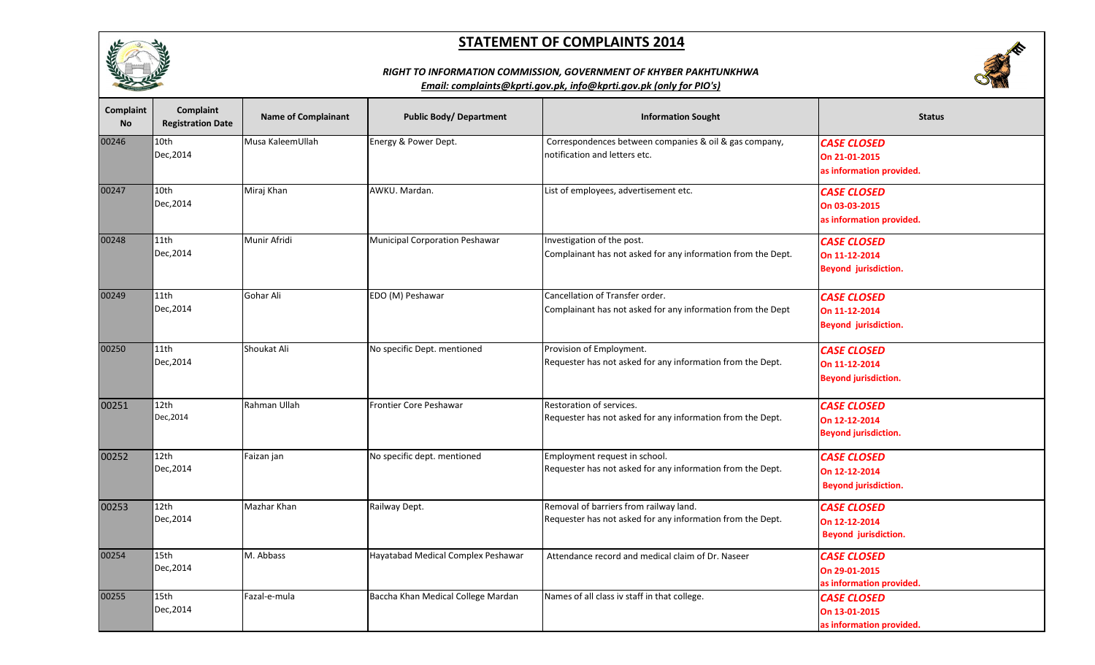





| <b>Complaint</b><br><b>No</b> | <b>Complaint</b><br><b>Registration Date</b> | <b>Name of Complainant</b> | <b>Public Body/ Department</b>     | <b>Information Sought</b>                                                                            | <b>Status</b>                                                      |
|-------------------------------|----------------------------------------------|----------------------------|------------------------------------|------------------------------------------------------------------------------------------------------|--------------------------------------------------------------------|
| 00246                         | 10th<br>Dec, 2014                            | Musa KaleemUllah           | Energy & Power Dept.               | Correspondences between companies & oil & gas company,<br>notification and letters etc.              | <b>CASE CLOSED</b><br>On 21-01-2015<br>as information provided.    |
| 00247                         | 10th<br>Dec, 2014                            | Miraj Khan                 | AWKU. Mardan.                      | List of employees, advertisement etc.                                                                | <b>CASE CLOSED</b><br>On 03-03-2015<br>as information provided.    |
| 00248                         | 11th<br>Dec, 2014                            | Munir Afridi               | Municipal Corporation Peshawar     | Investigation of the post.<br>Complainant has not asked for any information from the Dept.           | <b>CASE CLOSED</b><br>On 11-12-2014<br><b>Beyond jurisdiction.</b> |
| 00249                         | 11th<br>Dec, 2014                            | Gohar Ali                  | EDO (M) Peshawar                   | Cancellation of Transfer order.<br>Complainant has not asked for any information from the Dept       | <b>CASE CLOSED</b><br>On 11-12-2014<br>Beyond jurisdiction.        |
| 00250                         | 11th<br>Dec, 2014                            | Shoukat Ali                | No specific Dept. mentioned        | Provision of Employment.<br>Requester has not asked for any information from the Dept.               | <b>CASE CLOSED</b><br>On 11-12-2014<br><b>Beyond jurisdiction.</b> |
| 00251                         | 12th<br>Dec, 2014                            | Rahman Ullah               | Frontier Core Peshawar             | Restoration of services.<br>Requester has not asked for any information from the Dept.               | <b>CASE CLOSED</b><br>On 12-12-2014<br><b>Beyond jurisdiction.</b> |
| 00252                         | 12th<br>Dec, 2014                            | Faizan jan                 | No specific dept. mentioned        | Employment request in school.<br>Requester has not asked for any information from the Dept.          | <b>CASE CLOSED</b><br>On 12-12-2014<br><b>Beyond jurisdiction.</b> |
| 00253                         | 12th<br>Dec, 2014                            | Mazhar Khan                | Railway Dept.                      | Removal of barriers from railway land.<br>Requester has not asked for any information from the Dept. | <b>CASE CLOSED</b><br>On 12-12-2014<br>Beyond jurisdiction.        |
| 00254                         | 15th<br>Dec, 2014                            | M. Abbass                  | Hayatabad Medical Complex Peshawar | Attendance record and medical claim of Dr. Naseer                                                    | <b>CASE CLOSED</b><br>On 29-01-2015<br>as information provided.    |
| 00255                         | 15th<br>Dec, 2014                            | Fazal-e-mula               | Baccha Khan Medical College Mardan | Names of all class iv staff in that college.                                                         | <b>CASE CLOSED</b><br>On 13-01-2015<br>as information provided.    |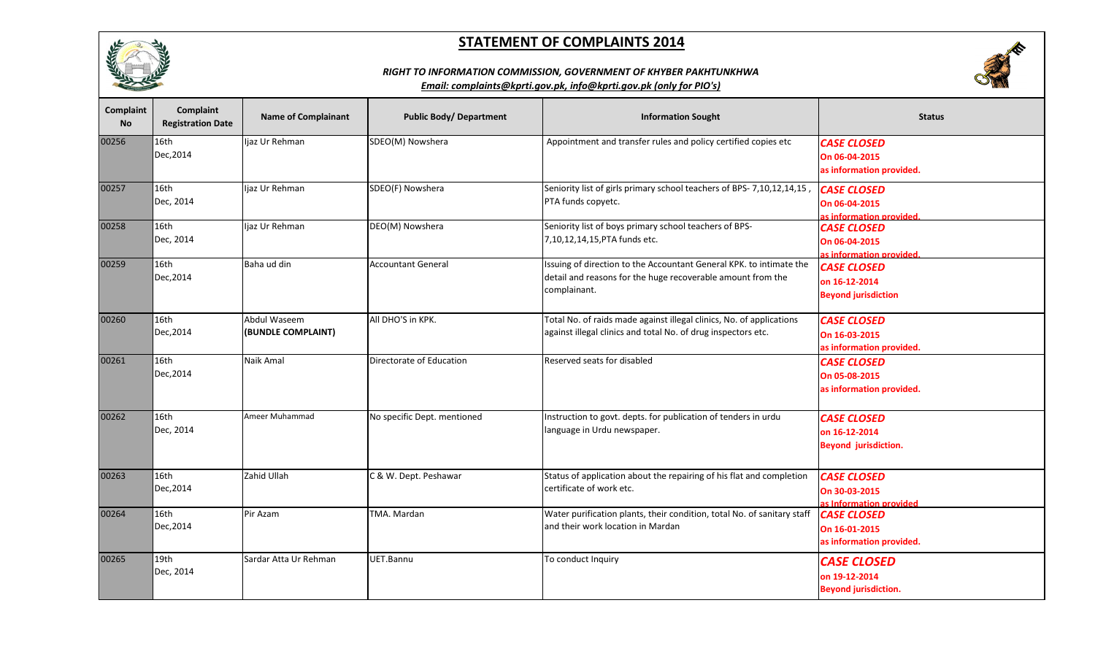





| Complaint<br><b>No</b> | <b>Complaint</b><br><b>Registration Date</b> | <b>Name of Complainant</b>         | <b>Public Body/ Department</b> | <b>Information Sought</b>                                                                                                                          | <b>Status</b>                                                      |
|------------------------|----------------------------------------------|------------------------------------|--------------------------------|----------------------------------------------------------------------------------------------------------------------------------------------------|--------------------------------------------------------------------|
| 00256                  | 16th<br>Dec, 2014                            | ljaz Ur Rehman                     | SDEO(M) Nowshera               | Appointment and transfer rules and policy certified copies etc                                                                                     | <b>CASE CLOSED</b><br>On 06-04-2015<br>as information provided.    |
| 00257                  | 16th<br>Dec, 2014                            | Ijaz Ur Rehman                     | SDEO(F) Nowshera               | Seniority list of girls primary school teachers of BPS- 7,10,12,14,15,<br>PTA funds copyetc.                                                       | <b>CASE CLOSED</b><br>On 06-04-2015<br>as information provided.    |
| 00258                  | 16th<br>Dec, 2014                            | ljaz Ur Rehman                     | DEO(M) Nowshera                | Seniority list of boys primary school teachers of BPS-<br>7,10,12,14,15, PTA funds etc.                                                            | <b>CASE CLOSED</b><br>On 06-04-2015<br>as information provided.    |
| 00259                  | 16th<br>Dec, 2014                            | Baha ud din                        | <b>Accountant General</b>      | Issuing of direction to the Accountant General KPK. to intimate the<br>detail and reasons for the huge recoverable amount from the<br>complainant. | <b>CASE CLOSED</b><br>on 16-12-2014<br><b>Beyond jurisdiction</b>  |
| 00260                  | 16th<br>Dec, 2014                            | Abdul Waseem<br>(BUNDLE COMPLAINT) | All DHO'S in KPK.              | Total No. of raids made against illegal clinics, No. of applications<br>against illegal clinics and total No. of drug inspectors etc.              | <b>CASE CLOSED</b><br>On 16-03-2015<br>as information provided.    |
| 00261                  | 16th<br>Dec, 2014                            | Naik Amal                          | Directorate of Education       | Reserved seats for disabled                                                                                                                        | <b>CASE CLOSED</b><br>On 05-08-2015<br>as information provided.    |
| 00262                  | 16th<br>Dec, 2014                            | Ameer Muhammad                     | No specific Dept. mentioned    | Instruction to govt. depts. for publication of tenders in urdu<br>language in Urdu newspaper.                                                      | <b>CASE CLOSED</b><br>on 16-12-2014<br><b>Beyond jurisdiction.</b> |
| 00263                  | 16th<br>Dec, 2014                            | Zahid Ullah                        | C & W. Dept. Peshawar          | Status of application about the repairing of his flat and completion<br>certificate of work etc.                                                   | <b>CASE CLOSED</b><br>On 30-03-2015<br>as Information provided     |
| 00264                  | 16th<br>Dec, 2014                            | Pir Azam                           | TMA. Mardan                    | Water purification plants, their condition, total No. of sanitary staff<br>and their work location in Mardan                                       | <b>CASE CLOSED</b><br>On 16-01-2015<br>as information provided.    |
| 00265                  | 19th<br>Dec, 2014                            | Sardar Atta Ur Rehman              | UET.Bannu                      | To conduct Inquiry                                                                                                                                 | <b>CASE CLOSED</b><br>on 19-12-2014<br><b>Beyond jurisdiction.</b> |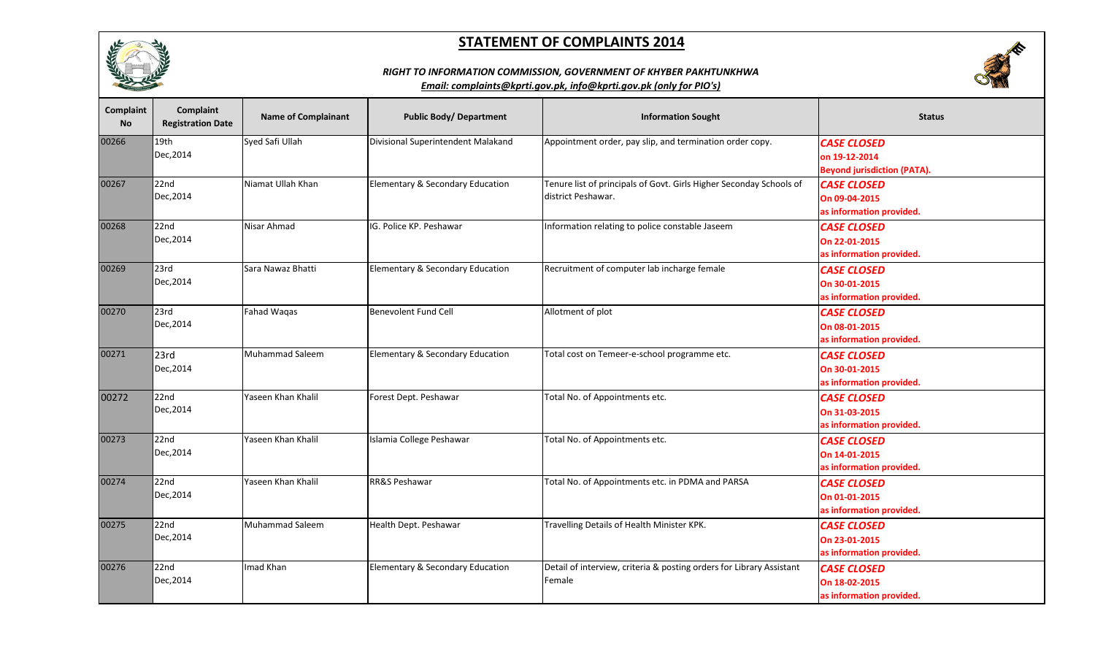





| <b>Complaint</b><br><b>No</b> | Complaint<br><b>Registration Date</b> | <b>Name of Complainant</b> | <b>Public Body/ Department</b>     | <b>Information Sought</b>                                            | <b>Status</b>                      |
|-------------------------------|---------------------------------------|----------------------------|------------------------------------|----------------------------------------------------------------------|------------------------------------|
| 00266                         | 19th                                  | Syed Safi Ullah            | Divisional Superintendent Malakand | Appointment order, pay slip, and termination order copy.             | <b>CASE CLOSED</b>                 |
|                               | Dec, 2014                             |                            |                                    |                                                                      | on 19-12-2014                      |
|                               |                                       |                            |                                    |                                                                      | <b>Beyond jurisdiction (PATA).</b> |
| 00267                         | 22nd                                  | Niamat Ullah Khan          | Elementary & Secondary Education   | Tenure list of principals of Govt. Girls Higher Seconday Schools of  | <b>CASE CLOSED</b>                 |
|                               | Dec, 2014                             |                            |                                    | district Peshawar.                                                   | On 09-04-2015                      |
|                               |                                       |                            |                                    |                                                                      | as information provided.           |
| 00268                         | 22nd                                  | Nisar Ahmad                | IG. Police KP. Peshawar            | Information relating to police constable Jaseem                      | <b>CASE CLOSED</b>                 |
|                               | Dec, 2014                             |                            |                                    |                                                                      | On 22-01-2015                      |
|                               |                                       |                            |                                    |                                                                      | as information provided.           |
| 00269                         | 23rd                                  | Sara Nawaz Bhatti          | Elementary & Secondary Education   | Recruitment of computer lab incharge female                          | <b>CASE CLOSED</b>                 |
|                               | Dec, 2014                             |                            |                                    |                                                                      | On 30-01-2015                      |
|                               |                                       |                            |                                    |                                                                      | as information provided.           |
| 00270                         | 23rd                                  | <b>Fahad Waqas</b>         | <b>Benevolent Fund Cell</b>        | Allotment of plot                                                    | <b>CASE CLOSED</b>                 |
|                               | Dec, 2014                             |                            |                                    |                                                                      | On 08-01-2015                      |
|                               |                                       |                            |                                    |                                                                      | as information provided.           |
| 00271                         | 23rd                                  | <b>Muhammad Saleem</b>     | Elementary & Secondary Education   | Total cost on Temeer-e-school programme etc.                         | <b>CASE CLOSED</b>                 |
|                               | Dec, 2014                             |                            |                                    |                                                                      | On 30-01-2015                      |
|                               |                                       |                            |                                    |                                                                      | as information provided.           |
| 00272                         | 22nd                                  | Yaseen Khan Khalil         | Forest Dept. Peshawar              | Total No. of Appointments etc.                                       | <b>CASE CLOSED</b>                 |
|                               | Dec, 2014                             |                            |                                    |                                                                      | On 31-03-2015                      |
|                               |                                       |                            |                                    |                                                                      | as information provided.           |
| 00273                         | 22nd                                  | Yaseen Khan Khalil         | Islamia College Peshawar           | Total No. of Appointments etc.                                       | <b>CASE CLOSED</b>                 |
|                               | Dec, 2014                             |                            |                                    |                                                                      | On 14-01-2015                      |
|                               |                                       |                            |                                    |                                                                      | as information provided.           |
| 00274                         | 22nd                                  | Yaseen Khan Khalil         | RR&S Peshawar                      | Total No. of Appointments etc. in PDMA and PARSA                     | <b>CASE CLOSED</b>                 |
|                               | Dec, 2014                             |                            |                                    |                                                                      | On 01-01-2015                      |
|                               |                                       |                            |                                    |                                                                      | as information provided.           |
| 00275                         | 22nd                                  | <b>Muhammad Saleem</b>     | Health Dept. Peshawar              | Travelling Details of Health Minister KPK.                           | <b>CASE CLOSED</b>                 |
|                               | Dec, 2014                             |                            |                                    |                                                                      | On 23-01-2015                      |
|                               |                                       |                            |                                    |                                                                      | as information provided.           |
| 00276                         | 22nd                                  | Imad Khan                  | Elementary & Secondary Education   | Detail of interview, criteria & posting orders for Library Assistant | <b>CASE CLOSED</b>                 |
|                               | Dec, 2014                             |                            |                                    | Female                                                               | On 18-02-2015                      |
|                               |                                       |                            |                                    |                                                                      | as information provided.           |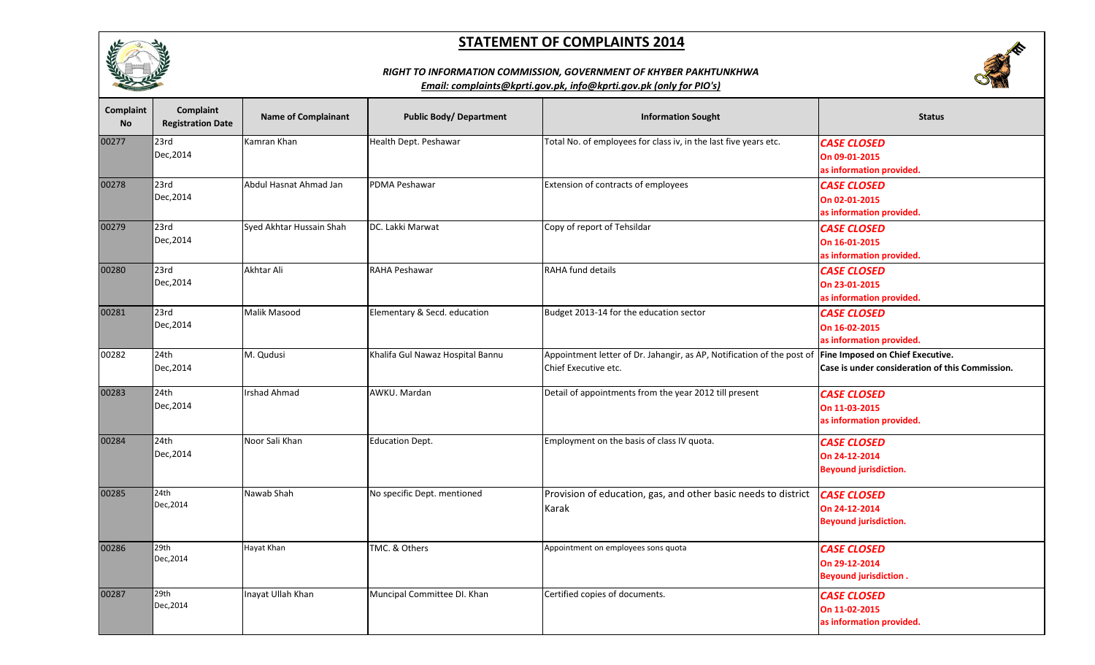





| <b>Complaint</b><br><b>No</b> | <b>Complaint</b><br><b>Registration Date</b> | <b>Name of Complainant</b> | <b>Public Body/ Department</b>   | <b>Information Sought</b>                                                                      | <b>Status</b>                                                                       |
|-------------------------------|----------------------------------------------|----------------------------|----------------------------------|------------------------------------------------------------------------------------------------|-------------------------------------------------------------------------------------|
| 00277                         | 23rd<br>Dec, 2014                            | Kamran Khan                | Health Dept. Peshawar            | Total No. of employees for class iv, in the last five years etc.                               | <b>CASE CLOSED</b><br>On 09-01-2015<br>as information provided.                     |
| 00278                         | 23rd<br>Dec, 2014                            | Abdul Hasnat Ahmad Jan     | PDMA Peshawar                    | Extension of contracts of employees                                                            | <b>CASE CLOSED</b><br>On 02-01-2015<br>as information provided.                     |
| 00279                         | 23rd<br>Dec, 2014                            | Syed Akhtar Hussain Shah   | DC. Lakki Marwat                 | Copy of report of Tehsildar                                                                    | <b>CASE CLOSED</b><br>On 16-01-2015<br>as information provided.                     |
| 00280                         | 23rd<br>Dec, 2014                            | Akhtar Ali                 | <b>RAHA Peshawar</b>             | RAHA fund details                                                                              | <b>CASE CLOSED</b><br>On 23-01-2015<br>as information provided.                     |
| 00281                         | 23rd<br>Dec, 2014                            | Malik Masood               | Elementary & Secd. education     | Budget 2013-14 for the education sector                                                        | <b>CASE CLOSED</b><br>On 16-02-2015<br>as information provided.                     |
| 00282                         | 24th<br>Dec, 2014                            | M. Qudusi                  | Khalifa Gul Nawaz Hospital Bannu | Appointment letter of Dr. Jahangir, as AP, Notification of the post of<br>Chief Executive etc. | Fine Imposed on Chief Executive.<br>Case is under consideration of this Commission. |
| 00283                         | 24th<br>Dec, 2014                            | <b>Irshad Ahmad</b>        | AWKU. Mardan                     | Detail of appointments from the year 2012 till present                                         | <b>CASE CLOSED</b><br>On 11-03-2015<br>as information provided.                     |
| 00284                         | 24th<br>Dec, 2014                            | Noor Sali Khan             | <b>Education Dept.</b>           | Employment on the basis of class IV quota.                                                     | <b>CASE CLOSED</b><br>On 24-12-2014<br><b>Beyound jurisdiction.</b>                 |
| 00285                         | 24th<br>Dec, 2014                            | Nawab Shah                 | No specific Dept. mentioned      | Provision of education, gas, and other basic needs to district<br>Karak                        | <b>CASE CLOSED</b><br>On 24-12-2014<br><b>Beyound jurisdiction.</b>                 |
| 00286                         | 29th<br>Dec, 2014                            | Hayat Khan                 | TMC. & Others                    | Appointment on employees sons quota                                                            | <b>CASE CLOSED</b><br>On 29-12-2014<br><b>Beyound jurisdiction.</b>                 |
| 00287                         | 29th<br>Dec, 2014                            | Inayat Ullah Khan          | Muncipal Committee DI. Khan      | Certified copies of documents.                                                                 | <b>CASE CLOSED</b><br>On 11-02-2015<br>as information provided.                     |